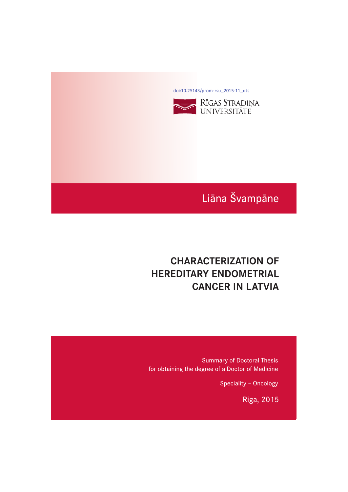[doi:10.25143/prom-rsu\\_2015-11\\_dts](https://doi.org/10.25143/prom-rsu_2015-11_dts)



## Liāna Švampāne

## **CHARACTERIZATION OF HEREDITARY ENDOMETRIAL CANCER IN LATVIA CANCER IN LATVIA**

Summary of Doctoral Thesis for obtaining the degree of a Doctor of Medicine

Speciality – Oncology

Riga, 2015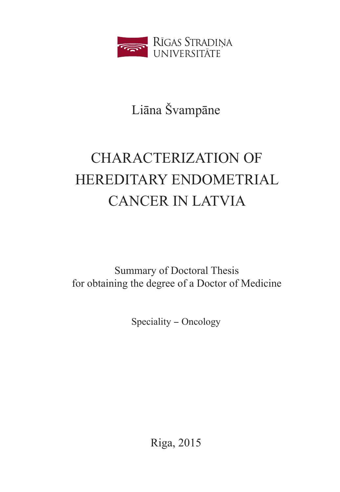

## Liāna Švampāne

# CHARACTERIZATION OF HEREDITARY ENDOMETRIAL CANCER IN LATVIA

Summary of Doctoral Thesis for obtaining the degree of a Doctor of Medicine

Speciality - Oncology

Riga, 2015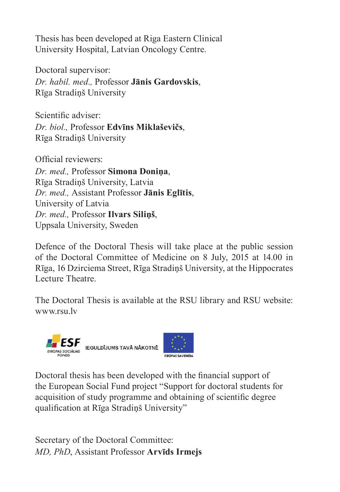Thesis has been developed at Riga Eastern Clinical University Hospital, Latvian Oncology Centre.

Doctoral supervisor: *Dr. habil. med.,* Professor **Jānis Gardovskis**, Rīga Stradiņš University

Scientific adviser: *Dr. biol.,* Professor **Edvīns Miklaševičs**, Rīga Stradiņš University

Official reviewers: *Dr. med.,* Professor **Simona Doniņa**, Rīga Stradiņš University, Latvia *Dr. med.,* Assistant Professor **Jānis Eglītis**, University of Latvia *Dr. med.,* Professor **Ilvars Siliņš**, Uppsala University, Sweden

Defence of the Doctoral Thesis will take place at the public session of the Doctoral Committee of Medicine on 8 July, 2015 at 14.00 in [Rīga, 16 Dzi](http://www.rsu.lv/)rciema Street, Rīga Stradiņš University, at the Hippocrates Lecture Theatre.

The Doctoral Thesis is available at the RSU library and RSU website: www.rsu.lv



Doctoral thesis has been developed with the financial support of the European Social Fund project "Support for doctoral students for acquisition of study programme and obtaining of scientific degree qualification at Rīga Stradiņš University"

Secretary of the Doctoral Committee: *MD, PhD*, Assistant Professor **Arvīds Irmejs**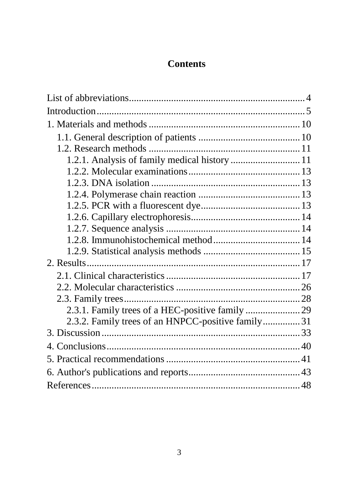## **Contents**

| 2.3.2. Family trees of an HNPCC-positive family31 |  |
|---------------------------------------------------|--|
|                                                   |  |
|                                                   |  |
|                                                   |  |
|                                                   |  |
|                                                   |  |
|                                                   |  |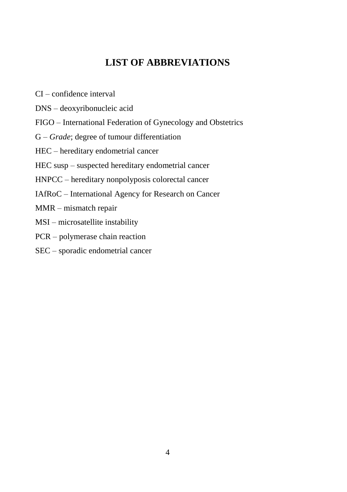## **LIST OF ABBREVIATIONS**

- <span id="page-4-0"></span>CI – confidence interval
- DNS deoxyribonucleic acid
- FIGO International Federation of Gynecology and Obstetrics
- G *Grade*; degree of tumour differentiation
- HEC hereditary endometrial cancer
- HEC susp suspected hereditary endometrial cancer
- HNPCC hereditary nonpolyposis colorectal cancer
- IAfRoC International Agency for Research on Cancer
- MMR mismatch repair
- MSI microsatellite instability
- PCR polymerase chain reaction
- SEC sporadic endometrial cancer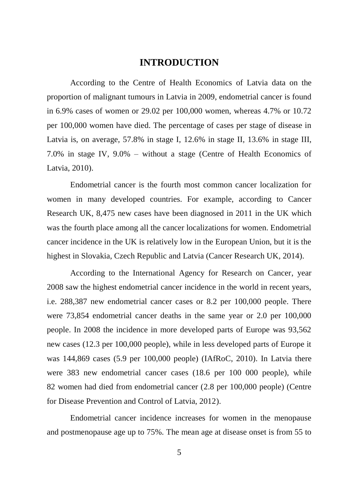## **INTRODUCTION**

<span id="page-5-0"></span>According to the Centre of Health Economics of Latvia data on the proportion of malignant tumours in Latvia in 2009, endometrial cancer is found in 6.9% cases of women or 29.02 per 100,000 women, whereas 4.7% or 10.72 per 100,000 women have died. The percentage of cases per stage of disease in Latvia is, on average, 57.8% in stage I, 12.6% in stage II, 13.6% in stage III, 7.0% in stage IV, 9.0% – without a stage (Centre of Health Economics of Latvia, 2010).

Endometrial cancer is the fourth most common cancer localization for women in many developed countries. For example, according to Cancer Research UK, 8,475 new cases have been diagnosed in 2011 in the UK which was the fourth place among all the cancer localizations for women. Endometrial cancer incidence in the UK is relatively low in the European Union, but it is the highest in Slovakia, Czech Republic and Latvia (Cancer Research UK, 2014).

According to the International Agency for Research on Cancer, year 2008 saw the highest endometrial cancer incidence in the world in recent years, i.e. 288,387 new endometrial cancer cases or 8.2 per 100,000 people. There were 73,854 endometrial cancer deaths in the same year or 2.0 per 100,000 people. In 2008 the incidence in more developed parts of Europe was 93,562 new cases (12.3 per 100,000 people), while in less developed parts of Europe it was 144,869 cases (5.9 per 100,000 people) (IAfRoC, 2010). In Latvia there were 383 new endometrial cancer cases (18.6 per 100 000 people), while 82 women had died from endometrial cancer (2.8 per 100,000 people) (Centre for Disease Prevention and Control of Latvia, 2012).

Endometrial cancer incidence increases for women in the menopause and postmenopause age up to 75%. The mean age at disease onset is from 55 to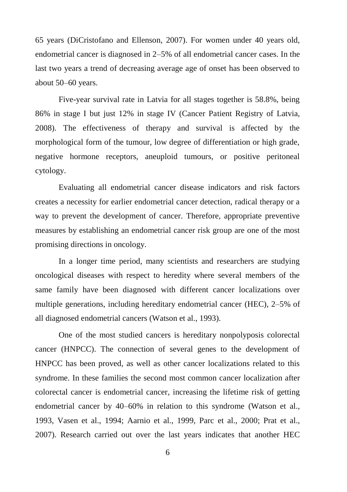65 years (DiCristofano and Ellenson, 2007). For women under 40 years old, endometrial cancer is diagnosed in 2–5% of all endometrial cancer cases. In the last two years a trend of decreasing average age of onset has been observed to about 50–60 years.

Five-year survival rate in Latvia for all stages together is 58.8%, being 86% in stage I but just 12% in stage IV (Cancer Patient Registry of Latvia, 2008). The effectiveness of therapy and survival is affected by the morphological form of the tumour, low degree of differentiation or high grade, negative hormone receptors, aneuploid tumours, or positive peritoneal cytology.

Evaluating all endometrial cancer disease indicators and risk factors creates a necessity for earlier endometrial cancer detection, radical therapy or a way to prevent the development of cancer. Therefore, appropriate preventive measures by establishing an endometrial cancer risk group are one of the most promising directions in oncology.

In a longer time period, many scientists and researchers are studying oncological diseases with respect to heredity where several members of the same family have been diagnosed with different cancer localizations over multiple generations, including hereditary endometrial cancer (HEC), 2–5% of all diagnosed endometrial cancers (Watson et al., 1993).

One of the most studied cancers is hereditary nonpolyposis colorectal cancer (HNPCC). The connection of several genes to the development of HNPCC has been proved, as well as other cancer localizations related to this syndrome. In these families the second most common cancer localization after colorectal cancer is endometrial cancer, increasing the lifetime risk of getting endometrial cancer by 40–60% in relation to this syndrome (Watson et al., 1993, Vasen et al., 1994; Aarnio et al., 1999, Parc et al., 2000; Prat et al., 2007). Research carried out over the last years indicates that another HEC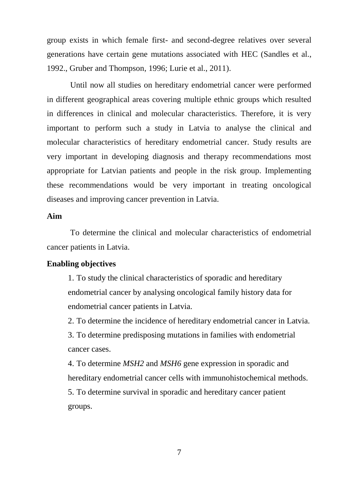group exists in which female first- and second-degree relatives over several generations have certain gene mutations associated with HEC (Sandles et al., 1992., Gruber and Thompson, 1996; Lurie et al., 2011).

Until now all studies on hereditary endometrial cancer were performed in different geographical areas covering multiple ethnic groups which resulted in differences in clinical and molecular characteristics. Therefore, it is very important to perform such a study in Latvia to analyse the clinical and molecular characteristics of hereditary endometrial cancer. Study results are very important in developing diagnosis and therapy recommendations most appropriate for Latvian patients and people in the risk group. Implementing these recommendations would be very important in treating oncological diseases and improving cancer prevention in Latvia.

#### **Aim**

To determine the clinical and molecular characteristics of endometrial cancer patients in Latvia.

#### **Enabling objectives**

1. To study the clinical characteristics of sporadic and hereditary endometrial cancer by analysing oncological family history data for endometrial cancer patients in Latvia.

2. To determine the incidence of hereditary endometrial cancer in Latvia.

3. To determine predisposing mutations in families with endometrial cancer cases.

4. To determine *MSH2* and *MSH6* gene expression in sporadic and hereditary endometrial cancer cells with immunohistochemical methods. 5. To determine survival in sporadic and hereditary cancer patient groups.

7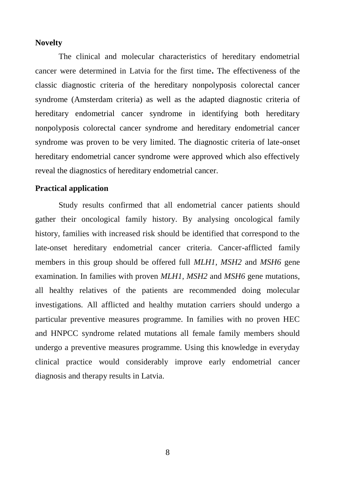#### **Novelty**

The clinical and molecular characteristics of hereditary endometrial cancer were determined in Latvia for the first time**.** The effectiveness of the classic diagnostic criteria of the hereditary nonpolyposis colorectal cancer syndrome (Amsterdam criteria) as well as the adapted diagnostic criteria of hereditary endometrial cancer syndrome in identifying both hereditary nonpolyposis colorectal cancer syndrome and hereditary endometrial cancer syndrome was proven to be very limited. The diagnostic criteria of late-onset hereditary endometrial cancer syndrome were approved which also effectively reveal the diagnostics of hereditary endometrial cancer.

#### **Practical application**

Study results confirmed that all endometrial cancer patients should gather their oncological family history. By analysing oncological family history, families with increased risk should be identified that correspond to the late-onset hereditary endometrial cancer criteria. Cancer-afflicted family members in this group should be offered full *MLH1*, *MSH2* and *MSH6* gene examination. In families with proven *MLH1*, *MSH2* and *MSH6* gene mutations, all healthy relatives of the patients are recommended doing molecular investigations. All afflicted and healthy mutation carriers should undergo a particular preventive measures programme. In families with no proven HEC and HNPCC syndrome related mutations all female family members should undergo a preventive measures programme. Using this knowledge in everyday clinical practice would considerably improve early endometrial cancer diagnosis and therapy results in Latvia.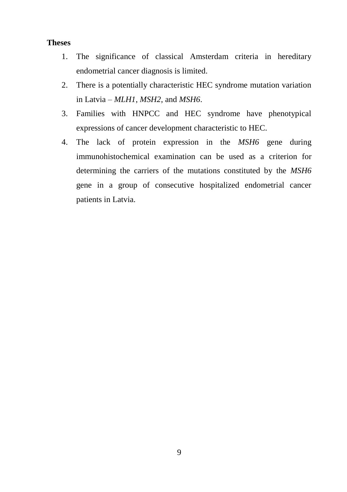#### **Theses**

- 1. The significance of classical Amsterdam criteria in hereditary endometrial cancer diagnosis is limited.
- 2. There is a potentially characteristic HEC syndrome mutation variation in Latvia – *MLH1*, *MSH2*, and *MSH6*.
- 3. Families with HNPCC and HEC syndrome have phenotypical expressions of cancer development characteristic to HEC.
- 4. The lack of protein expression in the *MSH6* gene during immunohistochemical examination can be used as a criterion for determining the carriers of the mutations constituted by the *MSH6* gene in a group of consecutive hospitalized endometrial cancer patients in Latvia.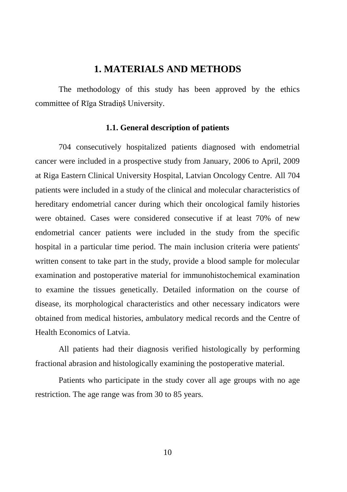## **1. MATERIALS AND METHODS**

<span id="page-10-0"></span>The methodology of this study has been approved by the ethics committee of Rīga Stradiņš University.

#### **1.1. General description of patients**

<span id="page-10-1"></span>704 consecutively hospitalized patients diagnosed with endometrial cancer were included in a prospective study from January, 2006 to April, 2009 at Riga Eastern Clinical University Hospital, Latvian Oncology Centre. All 704 patients were included in a study of the clinical and molecular characteristics of hereditary endometrial cancer during which their oncological family histories were obtained. Cases were considered consecutive if at least 70% of new endometrial cancer patients were included in the study from the specific hospital in a particular time period. The main inclusion criteria were patients' written consent to take part in the study, provide a blood sample for molecular examination and postoperative material for immunohistochemical examination to examine the tissues genetically. Detailed information on the course of disease, its morphological characteristics and other necessary indicators were obtained from medical histories, ambulatory medical records and the Centre of Health Economics of Latvia.

All patients had their diagnosis verified histologically by performing fractional abrasion and histologically examining the postoperative material.

Patients who participate in the study cover all age groups with no age restriction. The age range was from 30 to 85 years.

10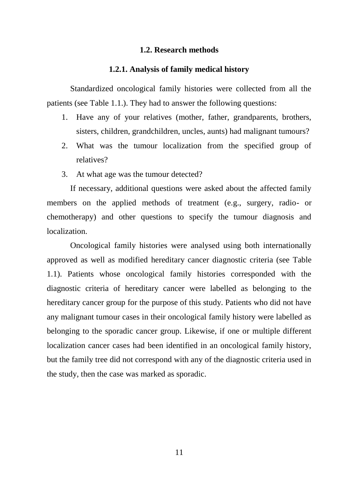#### **1.2. Research methods**

#### **1.2.1. Analysis of family medical history**

<span id="page-11-1"></span><span id="page-11-0"></span>Standardized oncological family histories were collected from all the patients (see Table 1.1.). They had to answer the following questions:

- 1. Have any of your relatives (mother, father, grandparents, brothers, sisters, children, grandchildren, uncles, aunts) had malignant tumours?
- 2. What was the tumour localization from the specified group of relatives?
- 3. At what age was the tumour detected?

If necessary, additional questions were asked about the affected family members on the applied methods of treatment (e.g., surgery, radio- or chemotherapy) and other questions to specify the tumour diagnosis and localization.

Oncological family histories were analysed using both internationally approved as well as modified hereditary cancer diagnostic criteria (see Table 1.1). Patients whose oncological family histories corresponded with the diagnostic criteria of hereditary cancer were labelled as belonging to the hereditary cancer group for the purpose of this study. Patients who did not have any malignant tumour cases in their oncological family history were labelled as belonging to the sporadic cancer group. Likewise, if one or multiple different localization cancer cases had been identified in an oncological family history, but the family tree did not correspond with any of the diagnostic criteria used in the study, then the case was marked as sporadic.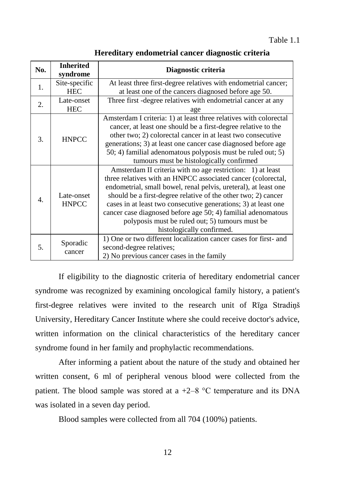| No.              | <b>Inherited</b><br>syndrome | Diagnostic criteria                                               |
|------------------|------------------------------|-------------------------------------------------------------------|
| 1.               | Site-specific                | At least three first-degree relatives with endometrial cancer;    |
|                  | <b>HEC</b>                   | at least one of the cancers diagnosed before age 50.              |
| 2.               | Late-onset                   | Three first -degree relatives with endometrial cancer at any      |
|                  | <b>HEC</b>                   | age                                                               |
|                  |                              | Amsterdam I criteria: 1) at least three relatives with colorectal |
|                  |                              | cancer, at least one should be a first-degree relative to the     |
| 3.               | <b>HNPCC</b>                 | other two; 2) colorectal cancer in at least two consecutive       |
|                  |                              | generations; 3) at least one cancer case diagnosed before age     |
|                  |                              | 50; 4) familial adenomatous polyposis must be ruled out; 5)       |
|                  |                              | tumours must be histologically confirmed                          |
|                  |                              | Amsterdam II criteria with no age restriction: 1) at least        |
|                  |                              | three relatives with an HNPCC associated cancer (colorectal,      |
|                  |                              | endometrial, small bowel, renal pelvis, ureteral), at least one   |
| $\overline{4}$ . | Late-onset                   | should be a first-degree relative of the other two; 2) cancer     |
|                  | <b>HNPCC</b>                 | cases in at least two consecutive generations; 3) at least one    |
|                  |                              | cancer case diagnosed before age 50; 4) familial adenomatous      |
|                  |                              | polyposis must be ruled out; 5) tumours must be                   |
|                  |                              | histologically confirmed.                                         |
|                  |                              | 1) One or two different localization cancer cases for first- and  |
| 5.               | Sporadic                     | second-degree relatives;                                          |
|                  | cancer                       | 2) No previous cancer cases in the family                         |

**Hereditary endometrial cancer diagnostic criteria**

If eligibility to the diagnostic criteria of hereditary endometrial cancer syndrome was recognized by examining oncological family history, a patient's first-degree relatives were invited to the research unit of Rīga Stradiņš University, Hereditary Cancer Institute where she could receive doctor's advice, written information on the clinical characteristics of the hereditary cancer syndrome found in her family and prophylactic recommendations.

After informing a patient about the nature of the study and obtained her written consent, 6 ml of peripheral venous blood were collected from the patient. The blood sample was stored at a  $+2-8$  °C temperature and its DNA was isolated in a seven day period.

Blood samples were collected from all 704 (100%) patients.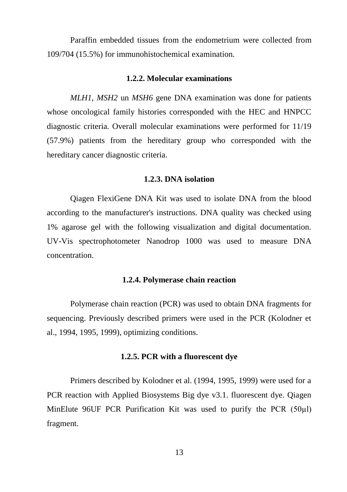Paraffin embedded tissues from the endometrium were collected from 109/704 (15.5%) for immunohistochemical examination.

#### **1.2.2. Molecular examinations**

<span id="page-13-0"></span>*MLH1*, *MSH2* un *MSH6* gene DNA examination was done for patients whose oncological family histories corresponded with the HEC and HNPCC diagnostic criteria. Overall molecular examinations were performed for 11/19 (57.9%) patients from the hereditary group who corresponded with the hereditary cancer diagnostic criteria.

#### **1.2.3. DNA isolation**

<span id="page-13-1"></span>Qiagen FlexiGene DNA Kit was used to isolate DNA from the blood according to the manufacturer's instructions. DNA quality was checked using 1% agarose gel with the following visualization and digital documentation. UV-Vis spectrophotometer Nanodrop 1000 was used to measure DNA concentration.

#### **1.2.4. Polymerase chain reaction**

<span id="page-13-2"></span>Polymerase chain reaction (PCR) was used to obtain DNA fragments for sequencing. Previously described primers were used in the PCR (Kolodner et al., 1994, 1995, 1999), optimizing conditions.

#### **1.2.5. PCR with a fluorescent dye**

<span id="page-13-3"></span>Primers described by Kolodner et al. (1994, 1995, 1999) were used for a PCR reaction with Applied Biosystems Big dye v3.1. fluorescent dye. Qiagen MinElute 96UF PCR Purification Kit was used to purify the PCR (50µl) fragment.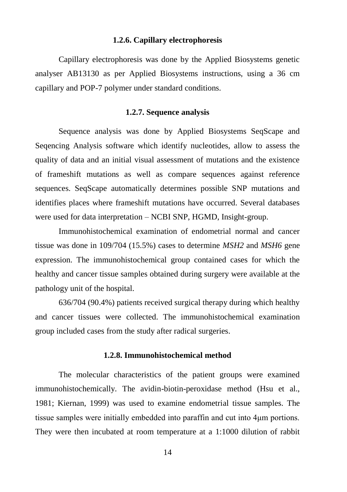#### **1.2.6. Capillary electrophoresis**

<span id="page-14-0"></span>Capillary electrophoresis was done by the Applied Biosystems genetic analyser AB13130 as per Applied Biosystems instructions, using a 36 cm capillary and POP-7 polymer under standard conditions.

#### **1.2.7. Sequence analysis**

<span id="page-14-1"></span>Sequence analysis was done by Applied Biosystems SeqScape and Seqencing Analysis software which identify nucleotides, allow to assess the quality of data and an initial visual assessment of mutations and the existence of frameshift mutations as well as compare sequences against reference sequences. SeqScape automatically determines possible SNP mutations and identifies places where frameshift mutations have occurred. Several databases were used for data interpretation – NCBI SNP, HGMD, Insight-group.

Immunohistochemical examination of endometrial normal and cancer tissue was done in 109/704 (15.5%) cases to determine *MSH2* and *MSH6* gene expression. The immunohistochemical group contained cases for which the healthy and cancer tissue samples obtained during surgery were available at the pathology unit of the hospital.

636/704 (90.4%) patients received surgical therapy during which healthy and cancer tissues were collected. The immunohistochemical examination group included cases from the study after radical surgeries.

#### **1.2.8. Immunohistochemical method**

<span id="page-14-2"></span>The molecular characteristics of the patient groups were examined immunohistochemically. The avidin-biotin-peroxidase method (Hsu et al., 1981; Kiernan, 1999) was used to examine endometrial tissue samples. The tissue samples were initially embedded into paraffin and cut into 4μm portions. They were then incubated at room temperature at a 1:1000 dilution of rabbit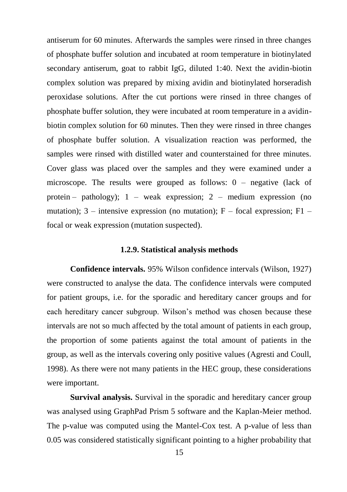antiserum for 60 minutes. Afterwards the samples were rinsed in three changes of phosphate buffer solution and incubated at room temperature in biotinylated secondary antiserum, goat to rabbit IgG, diluted 1:40. Next the avidin-biotin complex solution was prepared by mixing avidin and biotinylated horseradish peroxidase solutions. After the cut portions were rinsed in three changes of phosphate buffer solution, they were incubated at room temperature in a avidinbiotin complex solution for 60 minutes. Then they were rinsed in three changes of phosphate buffer solution. A visualization reaction was performed, the samples were rinsed with distilled water and counterstained for three minutes. Cover glass was placed over the samples and they were examined under a microscope. The results were grouped as follows: 0 – negative (lack of protein – pathology);  $1$  – weak expression;  $2$  – medium expression (no mutation);  $3$  – intensive expression (no mutation); F – focal expression; F1 – focal or weak expression (mutation suspected).

#### **1.2.9. Statistical analysis methods**

<span id="page-15-0"></span>**Confidence intervals.** 95% Wilson confidence intervals (Wilson, 1927) were constructed to analyse the data. The confidence intervals were computed for patient groups, i.e. for the sporadic and hereditary cancer groups and for each hereditary cancer subgroup. Wilson's method was chosen because these intervals are not so much affected by the total amount of patients in each group, the proportion of some patients against the total amount of patients in the group, as well as the intervals covering only positive values (Agresti and Coull, 1998). As there were not many patients in the HEC group, these considerations were important.

**Survival analysis.** Survival in the sporadic and hereditary cancer group was analysed using GraphPad Prism 5 software and the Kaplan-Meier method. The p-value was computed using the Mantel-Cox test. A p-value of less than 0.05 was considered statistically significant pointing to a higher probability that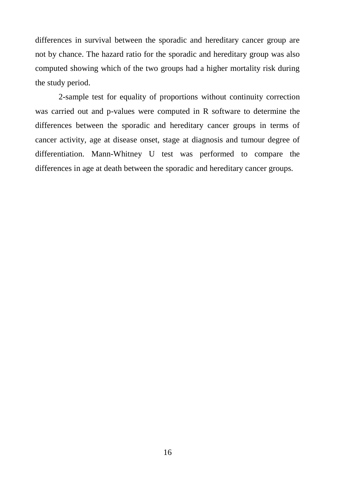differences in survival between the sporadic and hereditary cancer group are not by chance. The hazard ratio for the sporadic and hereditary group was also computed showing which of the two groups had a higher mortality risk during the study period.

2-sample test for equality of proportions without continuity correction was carried out and p-values were computed in R software to determine the differences between the sporadic and hereditary cancer groups in terms of cancer activity, age at disease onset, stage at diagnosis and tumour degree of differentiation. Mann-Whitney U test was performed to compare the differences in age at death between the sporadic and hereditary cancer groups.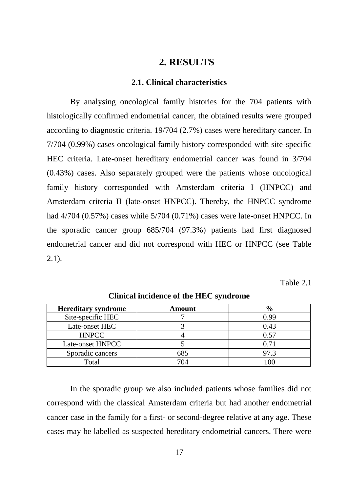## **2. RESULTS**

#### **2.1. Clinical characteristics**

<span id="page-17-1"></span><span id="page-17-0"></span>By analysing oncological family histories for the 704 patients with histologically confirmed endometrial cancer, the obtained results were grouped according to diagnostic criteria. 19/704 (2.7%) cases were hereditary cancer. In 7/704 (0.99%) cases oncological family history corresponded with site-specific HEC criteria. Late-onset hereditary endometrial cancer was found in 3/704 (0.43%) cases. Also separately grouped were the patients whose oncological family history corresponded with Amsterdam criteria I (HNPCC) and Amsterdam criteria II (late-onset HNPCC). Thereby, the HNPCC syndrome had 4/704 (0.57%) cases while 5/704 (0.71%) cases were late-onset HNPCC. In the sporadic cancer group 685/704 (97.3%) patients had first diagnosed endometrial cancer and did not correspond with HEC or HNPCC (see Table  $2.1$ ).

Table 2.1

| <b>Hereditary syndrome</b> | Amount |      |
|----------------------------|--------|------|
| Site-specific HEC          |        | 0.99 |
| Late-onset HEC             |        | 0.43 |
| <b>HNPCC</b>               |        | 0.57 |
| Late-onset HNPCC           |        |      |
| Sporadic cancers           | 685    | 97.3 |
| Total                      | 704    |      |

**Clinical incidence of the HEC syndrome**

In the sporadic group we also included patients whose families did not correspond with the classical Amsterdam criteria but had another endometrial cancer case in the family for a first- or second-degree relative at any age. These cases may be labelled as suspected hereditary endometrial cancers. There were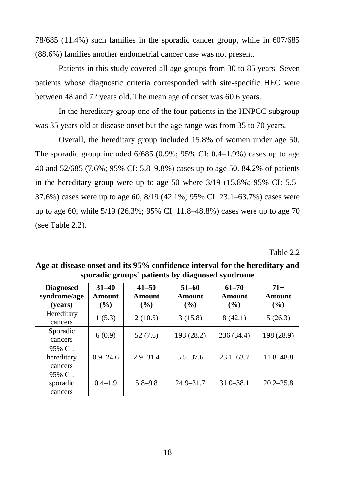78/685 (11.4%) such families in the sporadic cancer group, while in 607/685 (88.6%) families another endometrial cancer case was not present.

Patients in this study covered all age groups from 30 to 85 years. Seven patients whose diagnostic criteria corresponded with site-specific HEC were between 48 and 72 years old. The mean age of onset was 60.6 years.

In the hereditary group one of the four patients in the HNPCC subgroup was 35 years old at disease onset but the age range was from 35 to 70 years.

Overall, the hereditary group included 15.8% of women under age 50. The sporadic group included  $6/685$  (0.9%; 95% CI: 0.4–1.9%) cases up to age 40 and 52/685 (7.6%; 95% CI: 5.8–9.8%) cases up to age 50. 84.2% of patients in the hereditary group were up to age 50 where  $3/19$  (15.8%; 95% CI: 5.5– 37.6%) cases were up to age 60, 8/19 (42.1%; 95% CI: 23.1–63.7%) cases were up to age 60, while 5/19 (26.3%; 95% CI: 11.8–48.8%) cases were up to age 70 (see Table 2.2).

Table 2.2

| <b>Diagnosed</b><br>syndrome/age<br>(vears) | $31 - 40$<br>Amount<br>$($ %) | $41 - 50$<br>Amount<br>$($ %) | $51 - 60$<br>Amount<br>$($ %) | $61 - 70$<br>Amount<br>$($ %) | $71+$<br>Amount<br>$($ %) |
|---------------------------------------------|-------------------------------|-------------------------------|-------------------------------|-------------------------------|---------------------------|
| Hereditary<br>cancers                       | 1(5.3)                        | 2(10.5)                       | 3(15.8)                       | 8(42.1)                       | 5(26.3)                   |
| Sporadic<br>cancers                         | 6(0.9)                        | 52(7.6)                       | 193(28.2)                     | 236(34.4)                     | 198 (28.9)                |
| 95% CI:<br>hereditary<br>cancers            | $0.9 - 24.6$                  | $2.9 - 31.4$                  | $5.5 - 37.6$                  | $23.1 - 63.7$                 | 11.8-48.8                 |
| 95% CI:<br>sporadic<br>cancers              | $0.4 - 1.9$                   | $5.8 - 9.8$                   | $24.9 - 31.7$                 | $31.0 - 38.1$                 | $20.2 - 25.8$             |

**Age at disease onset and its 95% confidence interval for the hereditary and sporadic groups' patients by diagnosed syndrome**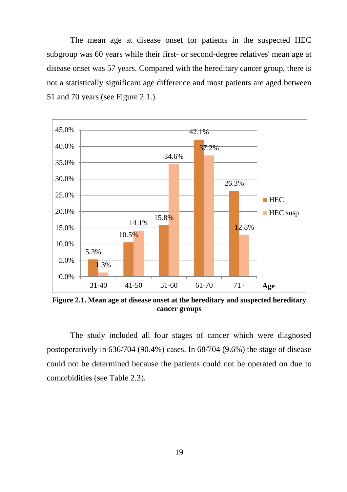The mean age at disease onset for patients in the suspected HEC subgroup was 60 years while their first- or second-degree relatives' mean age at disease onset was 57 years. Compared with the hereditary cancer group, there is not a statistically significant age difference and most patients are aged between 51 and 70 years (see Figure 2.1.).



**Figure 2.1. Mean age at disease onset at the hereditary and suspected hereditary cancer groups**

The study included all four stages of cancer which were diagnosed postoperatively in 636/704 (90.4%) cases. In 68/704 (9.6%) the stage of disease could not be determined because the patients could not be operated on due to comorbidities (see Table 2.3).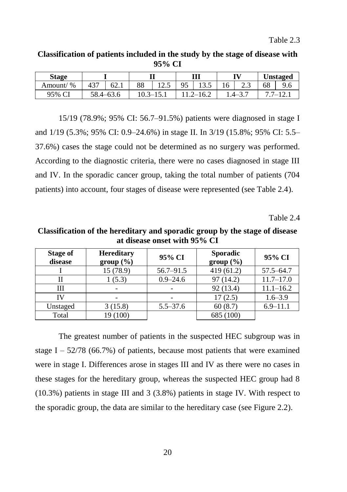#### **Classification of patients included in the study by the stage of disease with 95% CI**

| Stage                    |           |      |    |        | Ш    |                      |         |      | <b>Unstaged</b> |     |
|--------------------------|-----------|------|----|--------|------|----------------------|---------|------|-----------------|-----|
| $\frac{6}{6}$<br>Amount/ |           | 62.1 | 88 | ن د که | 95   | $1^{\prime}$<br>19.J | 16      | د. ک | 68              | 9.6 |
| 95% CI<br>ີ              | 58.4–63.6 |      |    |        | 16.2 |                      | $4 - 1$ |      |                 |     |

15/19 (78.9%; 95% CI: 56.7–91.5%) patients were diagnosed in stage I and 1/19 (5.3%; 95% CI: 0.9–24.6%) in stage II. In 3/19 (15.8%; 95% CI: 5.5– 37.6%) cases the stage could not be determined as no surgery was performed. According to the diagnostic criteria, there were no cases diagnosed in stage III and IV. In the sporadic cancer group, taking the total number of patients (704 patients) into account, four stages of disease were represented (see Table 2.4).

Table 2.4

**Classification of the hereditary and sporadic group by the stage of disease at disease onset with 95% CI**

| Stage of<br>disease | <b>Hereditary</b><br>group (%) | 95% CI        | <b>Sporadic</b><br>group (%) | 95% CI        |
|---------------------|--------------------------------|---------------|------------------------------|---------------|
|                     | 15 (78.9)                      | $56.7 - 91.5$ | 419(61.2)                    | $57.5 - 64.7$ |
| Н                   | 1(5.3)                         | $0.9 - 24.6$  | 97(14.2)                     | $11.7 - 17.0$ |
| Ш                   |                                |               | 92 (13.4)                    | $11.1 - 16.2$ |
| IV                  |                                |               | 17(2.5)                      | $1.6 - 3.9$   |
| Unstaged            | 3(15.8)                        | $5.5 - 37.6$  | 60(8.7)                      | $6.9 - 11.1$  |
| Total               | 19 (100)                       |               | 685 (100)                    |               |

The greatest number of patients in the suspected HEC subgroup was in stage I –  $52/78$  (66.7%) of patients, because most patients that were examined were in stage I. Differences arose in stages III and IV as there were no cases in these stages for the hereditary group, whereas the suspected HEC group had 8 (10.3%) patients in stage III and 3 (3.8%) patients in stage IV. With respect to the sporadic group, the data are similar to the hereditary case (see Figure 2.2).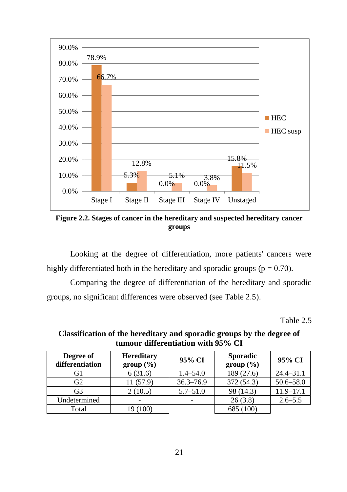

**Figure 2.2. Stages of cancer in the hereditary and suspected hereditary cancer groups**

Looking at the degree of differentiation, more patients' cancers were highly differentiated both in the hereditary and sporadic groups ( $p = 0.70$ ).

Comparing the degree of differentiation of the hereditary and sporadic groups, no significant differences were observed (see Table 2.5).

Table 2.5

| Degree of<br>differentiation | <b>Hereditary</b><br>group (%) | 95% CI        | <b>Sporadic</b><br>group (%) | 95% CI        |
|------------------------------|--------------------------------|---------------|------------------------------|---------------|
| G1                           | 6(31.6)                        | $1.4 - 54.0$  | 189 (27.6)                   | $24.4 - 31.1$ |
| G <sub>2</sub>               | 11 (57.9)                      | $36.3 - 76.9$ | 372 (54.3)                   | $50.6 - 58.0$ |
| G <sub>3</sub>               | 2(10.5)                        | $5.7 - 51.0$  | 98 (14.3)                    | $11.9 - 17.1$ |
| Undetermined                 |                                |               | 26(3.8)                      | $2.6 - 5.5$   |
| Total                        | 19 (100)                       |               | 685 (100)                    |               |

**Classification of the hereditary and sporadic groups by the degree of tumour differentiation with 95% CI**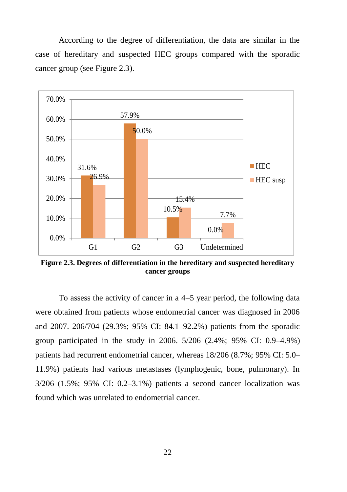According to the degree of differentiation, the data are similar in the case of hereditary and suspected HEC groups compared with the sporadic cancer group (see Figure 2.3).



**Figure 2.3. Degrees of differentiation in the hereditary and suspected hereditary cancer groups**

To assess the activity of cancer in a 4–5 year period, the following data were obtained from patients whose endometrial cancer was diagnosed in 2006 and 2007. 206/704 (29.3%; 95% CI: 84.1–92.2%) patients from the sporadic group participated in the study in 2006. 5/206 (2.4%; 95% CI: 0.9–4.9%) patients had recurrent endometrial cancer, whereas 18/206 (8.7%; 95% CI: 5.0– 11.9%) patients had various metastases (lymphogenic, bone, pulmonary). In 3/206 (1.5%; 95% CI: 0.2–3.1%) patients a second cancer localization was found which was unrelated to endometrial cancer.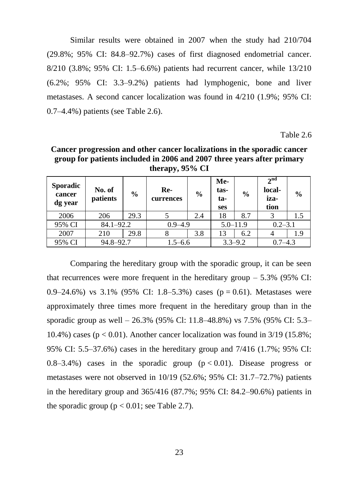Similar results were obtained in 2007 when the study had 210/704 (29.8%; 95% CI: 84.8–92.7%) cases of first diagnosed endometrial cancer. 8/210 (3.8%; 95% CI: 1.5–6.6%) patients had recurrent cancer, while 13/210 (6.2%; 95% CI: 3.3–9.2%) patients had lymphogenic, bone and liver metastases. A second cancer localization was found in 4/210 (1.9%; 95% CI: 0.7–4.4%) patients (see Table 2.6).

Table 2.6

**Cancer progression and other cancer localizations in the sporadic cancer group for patients included in 2006 and 2007 three years after primary therapy, 95% CI**

| <b>Sporadic</b><br>cancer<br>dg year | No. of<br>patients | $\frac{0}{0}$ | Re-<br>currences | $\frac{0}{0}$ | Me-<br>tas-<br>ta-<br>ses | $\frac{0}{0}$ | $2^{nd}$<br>local-<br>iza-<br>tion | $\frac{0}{0}$ |
|--------------------------------------|--------------------|---------------|------------------|---------------|---------------------------|---------------|------------------------------------|---------------|
| 2006                                 | 206                | 29.3          |                  | 2.4           | 18                        | 8.7           |                                    | 1.5           |
| 95% CI                               | $84.1 - 92.2$      |               | $0.9 - 4.9$      |               | $5.0 - 11.9$              |               | $0.2 - 3.1$                        |               |
| 2007                                 | 210                | 29.8          |                  | 3.8           | 13                        | 6.2           |                                    | 1.9           |
| 95% CI                               | 94.8-92.7          |               | $1.5 - 6.6$      |               | $3.3 - 9.2$               |               | $0.7 - 4.3$                        |               |

Comparing the hereditary group with the sporadic group, it can be seen that recurrences were more frequent in the hereditary group  $-5.3\%$  (95% CI: 0.9–24.6%) vs 3.1% (95% CI: 1.8–5.3%) cases ( $p = 0.61$ ). Metastases were approximately three times more frequent in the hereditary group than in the sporadic group as well – 26.3% (95% Cl: 11.8–48.8%) vs 7.5% (95% CI: 5.3– 10.4%) cases ( $p < 0.01$ ). Another cancer localization was found in 3/19 (15.8%; 95% CI: 5.5–37.6%) cases in the hereditary group and 7/416 (1.7%; 95% CI:  $0.8-3.4\%$  cases in the sporadic group ( $p < 0.01$ ). Disease progress or metastases were not observed in 10/19 (52.6%; 95% CI: 31.7–72.7%) patients in the hereditary group and 365/416 (87.7%; 95% CI: 84.2–90.6%) patients in the sporadic group ( $p < 0.01$ ; see Table 2.7).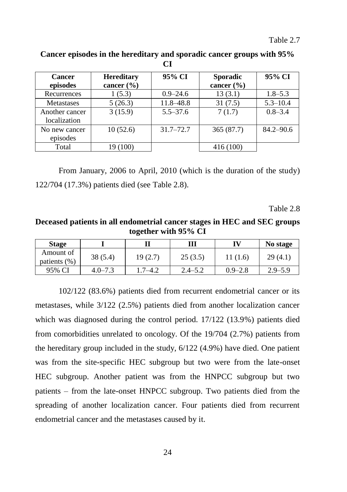| Cancer            | <b>Hereditary</b> | 95% CI        | <b>Sporadic</b> | 95% CI        |
|-------------------|-------------------|---------------|-----------------|---------------|
| episodes          | cancer $(\% )$    |               | cancer $(\% )$  |               |
| Recurrences       | 1(5.3)            | $0.9 - 24.6$  | 13(3.1)         | $1.8 - 5.3$   |
| <b>Metastases</b> | 5(26.3)           | 11.8-48.8     | 31(7.5)         | $5.3 - 10.4$  |
| Another cancer    | 3(15.9)           | $5.5 - 37.6$  | 7(1.7)          | $0.8 - 3.4$   |
| localization      |                   |               |                 |               |
| No new cancer     | 10(52.6)          | $31.7 - 72.7$ | 365 (87.7)      | $84.2 - 90.6$ |
| episodes          |                   |               |                 |               |
| Total             | 19 (100)          |               | 416(100)        |               |

**Cancer episodes in the hereditary and sporadic cancer groups with 95% CI**

From January, 2006 to April, 2010 (which is the duration of the study) 122/704 (17.3%) patients died (see Table 2.8).

Table 2.8

**Deceased patients in all endometrial cancer stages in HEC and SEC groups together with 95% CI**

| <b>Stage</b>              |             |             | ш           |             | No stage    |
|---------------------------|-------------|-------------|-------------|-------------|-------------|
| Amount of<br>patients (%) | 38 (5.4)    | 19(2.7)     | 25(3.5)     | 11 (1.6)    | 29(4.1)     |
| 95% CI                    | $4.0 - 7.3$ | $1.7 - 4.2$ | $2.4 - 5.2$ | $0.9 - 2.8$ | $2.9 - 5.9$ |

102/122 (83.6%) patients died from recurrent endometrial cancer or its metastases, while 3/122 (2.5%) patients died from another localization cancer which was diagnosed during the control period. 17/122 (13.9%) patients died from comorbidities unrelated to oncology. Of the 19/704 (2.7%) patients from the hereditary group included in the study, 6/122 (4.9%) have died. One patient was from the site-specific HEC subgroup but two were from the late-onset HEC subgroup. Another patient was from the HNPCC subgroup but two patients – from the late-onset HNPCC subgroup. Two patients died from the spreading of another localization cancer. Four patients died from recurrent endometrial cancer and the metastases caused by it.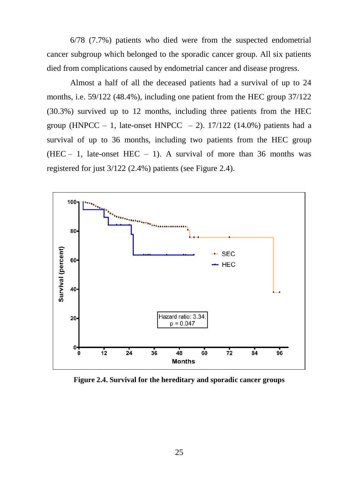6/78 (7.7%) patients who died were from the suspected endometrial cancer subgroup which belonged to the sporadic cancer group. All six patients died from complications caused by endometrial cancer and disease progress.

Almost a half of all the deceased patients had a survival of up to 24 months, i.e. 59/122 (48.4%), including one patient from the HEC group 37/122 (30.3%) survived up to 12 months, including three patients from the HEC group (HNPCC – 1, late-onset HNPCC – 2).  $17/122$  (14.0%) patients had a survival of up to 36 months, including two patients from the HEC group (HEC – 1, late-onset HEC – 1). A survival of more than 36 months was registered for just 3/122 (2.4%) patients (see Figure 2.4).



**Figure 2.4. Survival for the hereditary and sporadic cancer groups**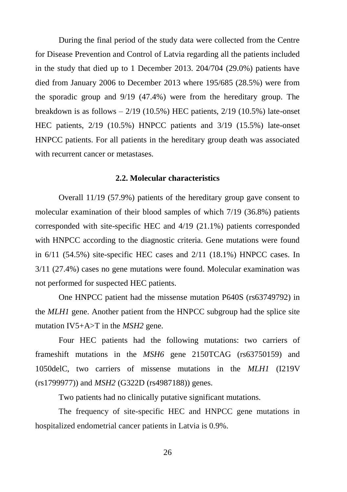During the final period of the study data were collected from the Centre for Disease Prevention and Control of Latvia regarding all the patients included in the study that died up to 1 December 2013. 204/704 (29.0%) patients have died from January 2006 to December 2013 where 195/685 (28.5%) were from the sporadic group and 9/19 (47.4%) were from the hereditary group. The breakdown is as follows  $-2/19$  (10.5%) HEC patients,  $2/19$  (10.5%) late-onset HEC patients, 2/19 (10.5%) HNPCC patients and 3/19 (15.5%) late-onset HNPCC patients. For all patients in the hereditary group death was associated with recurrent cancer or metastases.

#### **2.2. Molecular characteristics**

<span id="page-26-0"></span>Overall 11/19 (57.9%) patients of the hereditary group gave consent to molecular examination of their blood samples of which 7/19 (36.8%) patients corresponded with site-specific HEC and 4/19 (21.1%) patients corresponded with HNPCC according to the diagnostic criteria. Gene mutations were found in  $6/11$  (54.5%) site-specific HEC cases and  $2/11$  (18.1%) HNPCC cases. In 3/11 (27.4%) cases no gene mutations were found. Molecular examination was not performed for suspected HEC patients.

One HNPCC patient had the missense mutation P640S (rs63749792) in the *MLH1* gene. Another patient from the HNPCC subgroup had the splice site mutation IV5+A>T in the *MSH2* gene.

Four HEC patients had the following mutations: two carriers of frameshift mutations in the *MSH6* gene 2150TCAG (rs63750159) and 1050delC, two carriers of missense mutations in the *MLH1* (I219V (rs1799977)) and *MSH2* (G322D (rs4987188)) genes.

Two patients had no clinically putative significant mutations.

The frequency of site-specific HEC and HNPCC gene mutations in hospitalized endometrial cancer patients in Latvia is 0.9%.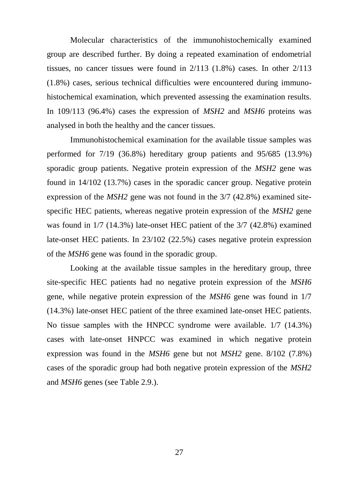Molecular characteristics of the immunohistochemically examined group are described further. By doing a repeated examination of endometrial tissues, no cancer tissues were found in 2/113 (1.8%) cases. In other 2/113 (1.8%) cases, serious technical difficulties were encountered during immunohistochemical examination, which prevented assessing the examination results. In 109/113 (96.4%) cases the expression of *MSH2* and *MSH6* proteins was analysed in both the healthy and the cancer tissues.

Immunohistochemical examination for the available tissue samples was performed for 7/19 (36.8%) hereditary group patients and 95/685 (13.9%) sporadic group patients. Negative protein expression of the *MSH2* gene was found in 14/102 (13.7%) cases in the sporadic cancer group. Negative protein expression of the *MSH2* gene was not found in the 3/7 (42.8%) examined sitespecific HEC patients, whereas negative protein expression of the *MSH2* gene was found in 1/7 (14.3%) late-onset HEC patient of the 3/7 (42.8%) examined late-onset HEC patients. In 23/102 (22.5%) cases negative protein expression of the *MSH6* gene was found in the sporadic group.

Looking at the available tissue samples in the hereditary group, three site-specific HEC patients had no negative protein expression of the *MSH6* gene, while negative protein expression of the *MSH6* gene was found in 1/7 (14.3%) late-onset HEC patient of the three examined late-onset HEC patients. No tissue samples with the HNPCC syndrome were available. 1/7 (14.3%) cases with late-onset HNPCC was examined in which negative protein expression was found in the *MSH6* gene but not *MSH2* gene. 8/102 (7.8%) cases of the sporadic group had both negative protein expression of the *MSH2* and *MSH6* genes (see Table 2.9.).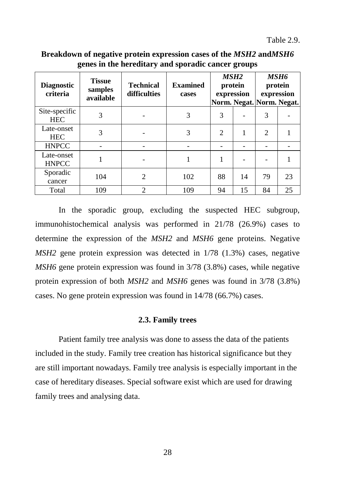Table 2.9.

| <b>Diagnostic</b><br>criteria | <b>Tissue</b><br>samples<br>available | <b>Technical</b><br>difficulties | <b>Examined</b><br>cases | MSH <sub>2</sub><br>protein<br>expression |    | <i><b>MSH6</b></i><br>protein<br>expression<br>Norm. Negat. Norm. Negat. |    |
|-------------------------------|---------------------------------------|----------------------------------|--------------------------|-------------------------------------------|----|--------------------------------------------------------------------------|----|
| Site-specific<br><b>HEC</b>   | 3                                     |                                  | 3                        | 3                                         |    | 3                                                                        |    |
| Late-onset<br><b>HEC</b>      | 3                                     |                                  | 3                        | $\mathfrak{D}$                            |    | $\overline{c}$                                                           |    |
| <b>HNPCC</b>                  |                                       |                                  |                          |                                           |    |                                                                          |    |
| Late-onset<br><b>HNPCC</b>    |                                       |                                  |                          |                                           |    |                                                                          |    |
| Sporadic<br>cancer            | 104                                   | $\mathfrak{D}$                   | 102                      | 88                                        | 14 | 79                                                                       | 23 |
| Total                         | 109                                   | $\overline{c}$                   | 109                      | 94                                        | 15 | 84                                                                       | 25 |

**Breakdown of negative protein expression cases of the** *MSH2* **and***MSH6* **genes in the hereditary and sporadic cancer groups**

In the sporadic group, excluding the suspected HEC subgroup, immunohistochemical analysis was performed in 21/78 (26.9%) cases to determine the expression of the *MSH2* and *MSH6* gene proteins. Negative *MSH2* gene protein expression was detected in 1/78 (1.3%) cases, negative *MSH6* gene protein expression was found in 3/78 (3.8%) cases, while negative protein expression of both *MSH2* and *MSH6* genes was found in 3/78 (3.8%) cases. No gene protein expression was found in 14/78 (66.7%) cases.

#### **2.3. Family trees**

<span id="page-28-0"></span>Patient family tree analysis was done to assess the data of the patients included in the study. Family tree creation has historical significance but they are still important nowadays. Family tree analysis is especially important in the case of hereditary diseases. Special software exist which are used for drawing family trees and analysing data.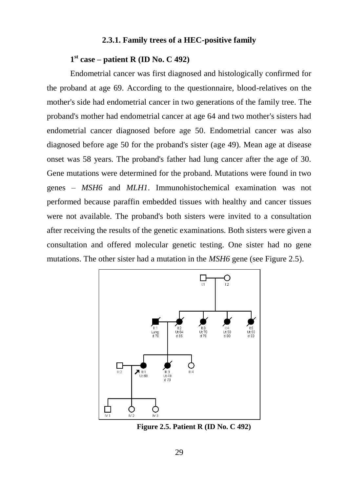#### **2.3.1. Family trees of a HEC-positive family**

## <span id="page-29-0"></span>**1 st case – patient R (ID No. C 492)**

Endometrial cancer was first diagnosed and histologically confirmed for the proband at age 69. According to the questionnaire, blood-relatives on the mother's side had endometrial cancer in two generations of the family tree. The proband's mother had endometrial cancer at age 64 and two mother's sisters had endometrial cancer diagnosed before age 50. Endometrial cancer was also diagnosed before age 50 for the proband's sister (age 49). Mean age at disease onset was 58 years. The proband's father had lung cancer after the age of 30. Gene mutations were determined for the proband. Mutations were found in two genes – *MSH6* and *MLH1*. Immunohistochemical examination was not performed because paraffin embedded tissues with healthy and cancer tissues were not available. The proband's both sisters were invited to a consultation after receiving the results of the genetic examinations. Both sisters were given a consultation and offered molecular genetic testing. One sister had no gene mutations. The other sister had a mutation in the *MSH6* gene (see Figure 2.5).



**Figure 2.5. Patient R (ID No. C 492)**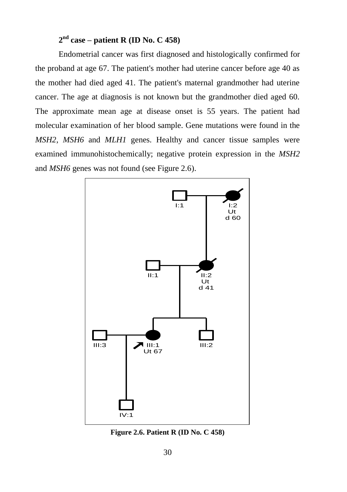## **2 nd case – patient R (ID No. C 458)**

Endometrial cancer was first diagnosed and histologically confirmed for the proband at age 67. The patient's mother had uterine cancer before age 40 as the mother had died aged 41. The patient's maternal grandmother had uterine cancer. The age at diagnosis is not known but the grandmother died aged 60. The approximate mean age at disease onset is 55 years. The patient had molecular examination of her blood sample. Gene mutations were found in the *MSH2*, *MSH6* and *MLH1* genes. Healthy and cancer tissue samples were examined immunohistochemically; negative protein expression in the *MSH2* and *MSH6* genes was not found (see Figure 2.6).



**Figure 2.6. Patient R (ID No. C 458)**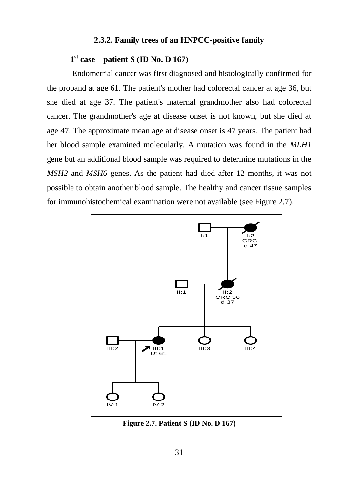#### **2.3.2. Family trees of an HNPCC-positive family**

## <span id="page-31-0"></span>**1 st case – patient S (ID No. D 167)**

Endometrial cancer was first diagnosed and histologically confirmed for the proband at age 61. The patient's mother had colorectal cancer at age 36, but she died at age 37. The patient's maternal grandmother also had colorectal cancer. The grandmother's age at disease onset is not known, but she died at age 47. The approximate mean age at disease onset is 47 years. The patient had her blood sample examined molecularly. A mutation was found in the *MLH1* gene but an additional blood sample was required to determine mutations in the *MSH2* and *MSH6* genes. As the patient had died after 12 months, it was not possible to obtain another blood sample. The healthy and cancer tissue samples for immunohistochemical examination were not available (see Figure 2.7).



**Figure 2.7. Patient S (ID No. D 167)**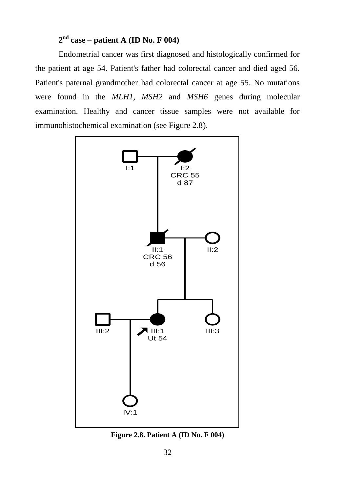## **2 nd case – patient A (ID No. F 004)**

Endometrial cancer was first diagnosed and histologically confirmed for the patient at age 54. Patient's father had colorectal cancer and died aged 56. Patient's paternal grandmother had colorectal cancer at age 55. No mutations were found in the *MLH1*, *MSH2* and *MSH6* genes during molecular examination. Healthy and cancer tissue samples were not available for immunohistochemical examination (see Figure 2.8).



**Figure 2.8. Patient A (ID No. F 004)**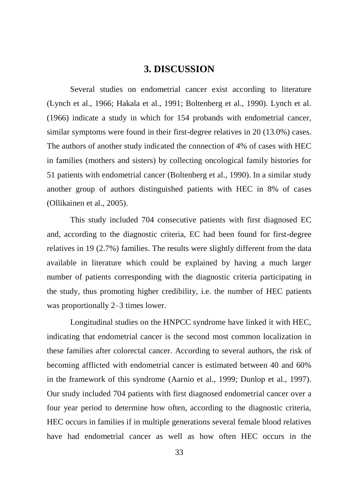## **3. DISCUSSION**

<span id="page-33-0"></span>Several studies on endometrial cancer exist according to literature (Lynch et al., 1966; Hakala et al., 1991; Boltenberg et al., 1990). Lynch et al. (1966) indicate a study in which for 154 probands with endometrial cancer, similar symptoms were found in their first-degree relatives in 20 (13.0%) cases. The authors of another study indicated the connection of 4% of cases with HEC in families (mothers and sisters) by collecting oncological family histories for 51 patients with endometrial cancer (Boltenberg et al., 1990). In a similar study another group of authors distinguished patients with HEC in 8% of cases (Ollikainen et al., 2005).

This study included 704 consecutive patients with first diagnosed EC and, according to the diagnostic criteria, EC had been found for first-degree relatives in 19 (2.7%) families. The results were slightly different from the data available in literature which could be explained by having a much larger number of patients corresponding with the diagnostic criteria participating in the study, thus promoting higher credibility, i.e. the number of HEC patients was proportionally 2–3 times lower.

Longitudinal studies on the HNPCC syndrome have linked it with HEC, indicating that endometrial cancer is the second most common localization in these families after colorectal cancer. According to several authors, the risk of becoming afflicted with endometrial cancer is estimated between 40 and 60% in the framework of this syndrome (Aarnio et al., 1999; Dunlop et al., 1997). Our study included 704 patients with first diagnosed endometrial cancer over a four year period to determine how often, according to the diagnostic criteria, HEC occurs in families if in multiple generations several female blood relatives have had endometrial cancer as well as how often HEC occurs in the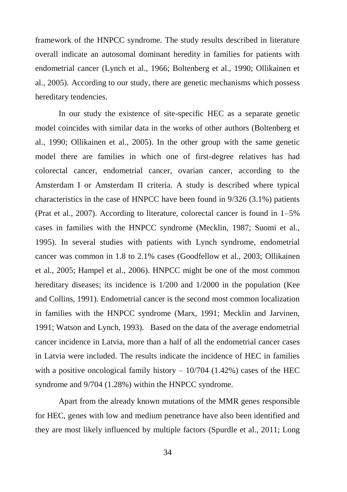framework of the HNPCC syndrome. The study results described in literature overall indicate an autosomal dominant heredity in families for patients with endometrial cancer (Lynch et al., 1966; Boltenberg et al., 1990; Ollikainen et al., 2005). According to our study, there are genetic mechanisms which possess hereditary tendencies.

In our study the existence of site-specific HEC as a separate genetic model coincides with similar data in the works of other authors (Boltenberg et al., 1990; Ollikainen et al., 2005). In the other group with the same genetic model there are families in which one of first-degree relatives has had colorectal cancer, endometrial cancer, ovarian cancer, according to the Amsterdam I or Amsterdam II criteria. A study is described where typical characteristics in the case of HNPCC have been found in 9/326 (3.1%) patients (Prat et al., 2007). According to literature, colorectal cancer is found in 1–5% cases in families with the HNPCC syndrome (Mecklin, 1987; Suomi et al., 1995). In several studies with patients with Lynch syndrome, endometrial cancer was common in 1.8 to 2.1% cases (Goodfellow et al., 2003; Ollikainen et al., 2005; Hampel et al., 2006). HNPCC might be one of the most common hereditary diseases; its incidence is 1/200 and 1/2000 in the population (Kee and Collins, 1991). Endometrial cancer is the second most common localization in families with the HNPCC syndrome (Marx, 1991; Mecklin and Jarvinen, 1991; Watson and Lynch, 1993). Based on the data of the average endometrial cancer incidence in Latvia, more than a half of all the endometrial cancer cases in Latvia were included. The results indicate the incidence of HEC in families with a positive oncological family history  $-10/704$  (1.42%) cases of the HEC syndrome and 9/704 (1.28%) within the HNPCC syndrome.

Apart from the already known mutations of the MMR genes responsible for HEC, genes with low and medium penetrance have also been identified and they are most likely influenced by multiple factors (Spurdle et al., 2011; Long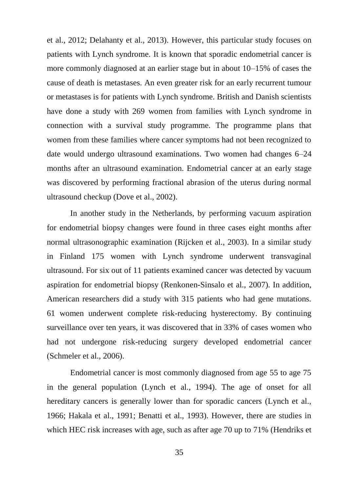et al., 2012; Delahanty et al., 2013). However, this particular study focuses on patients with Lynch syndrome. It is known that sporadic endometrial cancer is more commonly diagnosed at an earlier stage but in about 10–15% of cases the cause of death is metastases. An even greater risk for an early recurrent tumour or metastases is for patients with Lynch syndrome. British and Danish scientists have done a study with 269 women from families with Lynch syndrome in connection with a survival study programme. The programme plans that women from these families where cancer symptoms had not been recognized to date would undergo ultrasound examinations. Two women had changes 6–24 months after an ultrasound examination. Endometrial cancer at an early stage was discovered by performing fractional abrasion of the uterus during normal ultrasound checkup (Dove et al., 2002).

In another study in the Netherlands, by performing vacuum aspiration for endometrial biopsy changes were found in three cases eight months after normal ultrasonographic examination (Rijcken et al., 2003). In a similar study in Finland 175 women with Lynch syndrome underwent transvaginal ultrasound. For six out of 11 patients examined cancer was detected by vacuum aspiration for endometrial biopsy (Renkonen-Sinsalo et al., 2007). In addition, American researchers did a study with 315 patients who had gene mutations. 61 women underwent complete risk-reducing hysterectomy. By continuing surveillance over ten years, it was discovered that in 33% of cases women who had not undergone risk-reducing surgery developed endometrial cancer (Schmeler et al., 2006).

Endometrial cancer is most commonly diagnosed from age 55 to age 75 in the general population (Lynch et al., 1994). The age of onset for all hereditary cancers is generally lower than for sporadic cancers (Lynch et al., 1966; Hakala et al., 1991; Benatti et al., 1993). However, there are studies in which HEC risk increases with age, such as after age 70 up to 71% (Hendriks et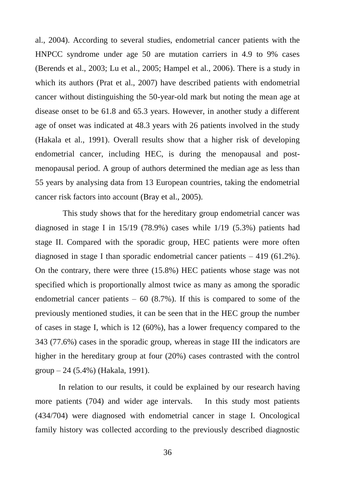al., 2004). According to several studies, endometrial cancer patients with the HNPCC syndrome under age 50 are mutation carriers in 4.9 to 9% cases (Berends et al., 2003; Lu et al., 2005; Hampel et al., 2006). There is a study in which its authors (Prat et al., 2007) have described patients with endometrial cancer without distinguishing the 50-year-old mark but noting the mean age at disease onset to be 61.8 and 65.3 years. However, in another study a different age of onset was indicated at 48.3 years with 26 patients involved in the study (Hakala et al., 1991). Overall results show that a higher risk of developing endometrial cancer, including HEC, is during the menopausal and postmenopausal period. A group of authors determined the median age as less than 55 years by analysing data from 13 European countries, taking the endometrial cancer risk factors into account (Bray et al., 2005).

 This study shows that for the hereditary group endometrial cancer was diagnosed in stage I in 15/19 (78.9%) cases while 1/19 (5.3%) patients had stage II. Compared with the sporadic group, HEC patients were more often diagnosed in stage I than sporadic endometrial cancer patients  $-419$  (61.2%). On the contrary, there were three (15.8%) HEC patients whose stage was not specified which is proportionally almost twice as many as among the sporadic endometrial cancer patients  $-60$  (8.7%). If this is compared to some of the previously mentioned studies, it can be seen that in the HEC group the number of cases in stage I, which is 12 (60%), has a lower frequency compared to the 343 (77.6%) cases in the sporadic group, whereas in stage III the indicators are higher in the hereditary group at four (20%) cases contrasted with the control group – 24 (5.4%) (Hakala, 1991).

In relation to our results, it could be explained by our research having more patients (704) and wider age intervals. In this study most patients (434/704) were diagnosed with endometrial cancer in stage I. Oncological family history was collected according to the previously described diagnostic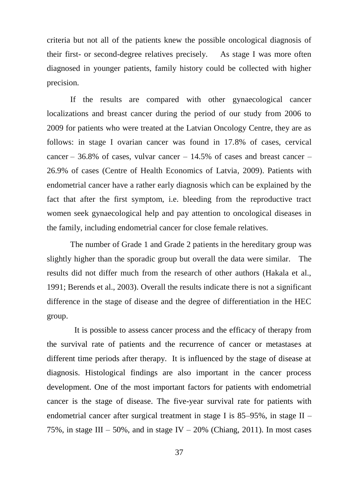criteria but not all of the patients knew the possible oncological diagnosis of their first- or second-degree relatives precisely. As stage I was more often diagnosed in younger patients, family history could be collected with higher precision.

If the results are compared with other gynaecological cancer localizations and breast cancer during the period of our study from 2006 to 2009 for patients who were treated at the Latvian Oncology Centre, they are as follows: in stage I ovarian cancer was found in 17.8% of cases, cervical cancer – 36.8% of cases, vulvar cancer –  $14.5\%$  of cases and breast cancer – 26.9% of cases (Centre of Health Economics of Latvia, 2009). Patients with endometrial cancer have a rather early diagnosis which can be explained by the fact that after the first symptom, i.e. bleeding from the reproductive tract women seek gynaecological help and pay attention to oncological diseases in the family, including endometrial cancer for close female relatives.

The number of Grade 1 and Grade 2 patients in the hereditary group was slightly higher than the sporadic group but overall the data were similar. The results did not differ much from the research of other authors (Hakala et al., 1991; Berends et al., 2003). Overall the results indicate there is not a significant difference in the stage of disease and the degree of differentiation in the HEC group.

 It is possible to assess cancer process and the efficacy of therapy from the survival rate of patients and the recurrence of cancer or metastases at different time periods after therapy. It is influenced by the stage of disease at diagnosis. Histological findings are also important in the cancer process development. One of the most important factors for patients with endometrial cancer is the stage of disease. The five-year survival rate for patients with endometrial cancer after surgical treatment in stage I is  $85-95\%$ , in stage II – 75%, in stage III – 50%, and in stage IV – 20% (Chiang, 2011). In most cases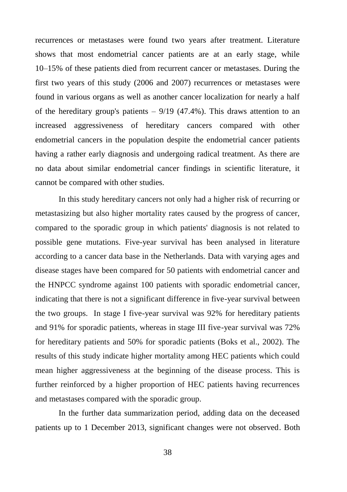recurrences or metastases were found two years after treatment. Literature shows that most endometrial cancer patients are at an early stage, while 10–15% of these patients died from recurrent cancer or metastases. During the first two years of this study (2006 and 2007) recurrences or metastases were found in various organs as well as another cancer localization for nearly a half of the hereditary group's patients  $-9/19$  (47.4%). This draws attention to an increased aggressiveness of hereditary cancers compared with other endometrial cancers in the population despite the endometrial cancer patients having a rather early diagnosis and undergoing radical treatment. As there are no data about similar endometrial cancer findings in scientific literature, it cannot be compared with other studies.

In this study hereditary cancers not only had a higher risk of recurring or metastasizing but also higher mortality rates caused by the progress of cancer, compared to the sporadic group in which patients' diagnosis is not related to possible gene mutations. Five-year survival has been analysed in literature according to a cancer data base in the Netherlands. Data with varying ages and disease stages have been compared for 50 patients with endometrial cancer and the HNPCC syndrome against 100 patients with sporadic endometrial cancer, indicating that there is not a significant difference in five-year survival between the two groups. In stage I five-year survival was 92% for hereditary patients and 91% for sporadic patients, whereas in stage III five-year survival was 72% for hereditary patients and 50% for sporadic patients (Boks et al., 2002). The results of this study indicate higher mortality among HEC patients which could mean higher aggressiveness at the beginning of the disease process. This is further reinforced by a higher proportion of HEC patients having recurrences and metastases compared with the sporadic group.

In the further data summarization period, adding data on the deceased patients up to 1 December 2013, significant changes were not observed. Both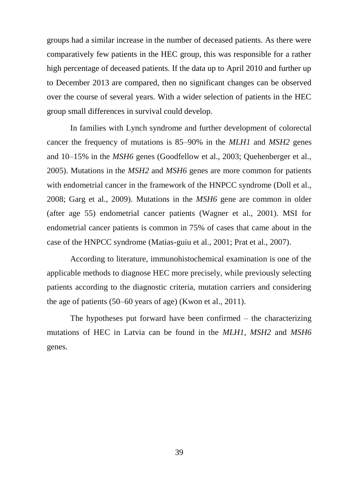groups had a similar increase in the number of deceased patients. As there were comparatively few patients in the HEC group, this was responsible for a rather high percentage of deceased patients. If the data up to April 2010 and further up to December 2013 are compared, then no significant changes can be observed over the course of several years. With a wider selection of patients in the HEC group small differences in survival could develop.

In families with Lynch syndrome and further development of colorectal cancer the frequency of mutations is 85–90% in the *MLH1* and *MSH2* genes and 10–15% in the *MSH6* genes (Goodfellow et al., 2003; Quehenberger et al., 2005). Mutations in the *MSH2* and *MSH6* genes are more common for patients with endometrial cancer in the framework of the HNPCC syndrome (Doll et al., 2008; Garg et al., 2009). Mutations in the *MSH6* gene are common in older (after age 55) endometrial cancer patients (Wagner et al., 2001). MSI for endometrial cancer patients is common in 75% of cases that came about in the case of the HNPCC syndrome (Matias-guiu et al., 2001; Prat et al., 2007).

According to literature, immunohistochemical examination is one of the applicable methods to diagnose HEC more precisely, while previously selecting patients according to the diagnostic criteria, mutation carriers and considering the age of patients (50–60 years of age) (Kwon et al., 2011).

The hypotheses put forward have been confirmed – the characterizing mutations of HEC in Latvia can be found in the *MLH1*, *MSH2* and *MSH6* genes.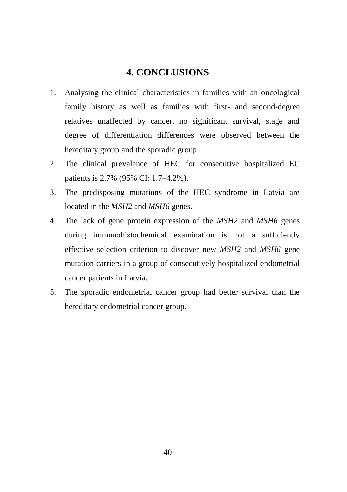## **4. CONCLUSIONS**

- <span id="page-40-0"></span>1. Analysing the clinical characteristics in families with an oncological family history as well as families with first- and second-degree relatives unaffected by cancer, no significant survival, stage and degree of differentiation differences were observed between the hereditary group and the sporadic group.
- 2. The clinical prevalence of HEC for consecutive hospitalized EC patients is 2.7% (95% CI: 1.7–4.2%).
- 3. The predisposing mutations of the HEC syndrome in Latvia are located in the *MSH2* and *MSH6* genes.
- 4. The lack of gene protein expression of the *MSH2* and *MSH6* genes during immunohistochemical examination is not a sufficiently effective selection criterion to discover new *MSH2* and *MSH6* gene mutation carriers in a group of consecutively hospitalized endometrial cancer patients in Latvia.
- 5. The sporadic endometrial cancer group had better survival than the hereditary endometrial cancer group.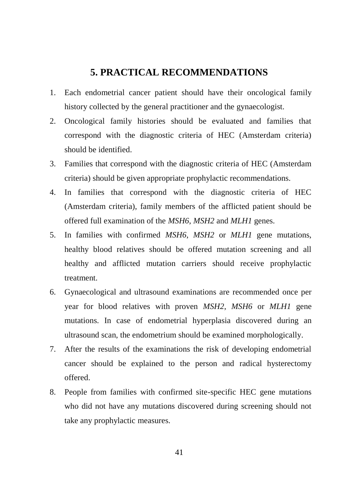## **5. PRACTICAL RECOMMENDATIONS**

- <span id="page-41-0"></span>1. Each endometrial cancer patient should have their oncological family history collected by the general practitioner and the gynaecologist.
- 2. Oncological family histories should be evaluated and families that correspond with the diagnostic criteria of HEC (Amsterdam criteria) should be identified.
- 3. Families that correspond with the diagnostic criteria of HEC (Amsterdam criteria) should be given appropriate prophylactic recommendations.
- 4. In families that correspond with the diagnostic criteria of HEC (Amsterdam criteria), family members of the afflicted patient should be offered full examination of the *MSH6*, *MSH2* and *MLH1* genes.
- 5. In families with confirmed *MSH6*, *MSH2* or *MLH1* gene mutations, healthy blood relatives should be offered mutation screening and all healthy and afflicted mutation carriers should receive prophylactic treatment.
- 6. Gynaecological and ultrasound examinations are recommended once per year for blood relatives with proven *MSH2*, *MSH6* or *MLH1* gene mutations. In case of endometrial hyperplasia discovered during an ultrasound scan, the endometrium should be examined morphologically.
- 7. After the results of the examinations the risk of developing endometrial cancer should be explained to the person and radical hysterectomy offered.
- 8. People from families with confirmed site-specific HEC gene mutations who did not have any mutations discovered during screening should not take any prophylactic measures.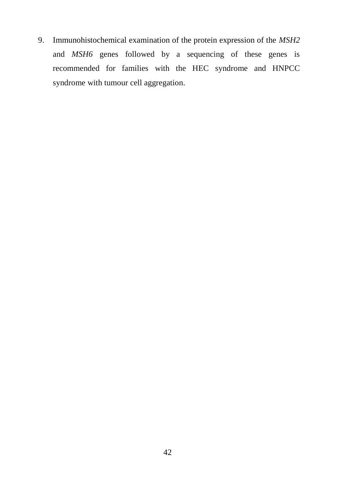9. Immunohistochemical examination of the protein expression of the *MSH2* and *MSH6* genes followed by a sequencing of these genes is recommended for families with the HEC syndrome and HNPCC syndrome with tumour cell aggregation.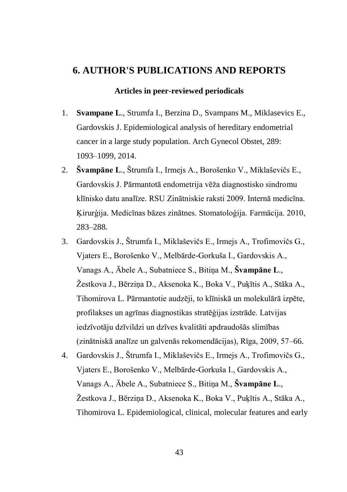## <span id="page-43-0"></span>**6. AUTHOR'S PUBLICATIONS AND REPORTS**

#### **Articles in peer-reviewed periodicals**

- 1. **Svampane L**., Strumfa I., Berzina D., Svampans M., Miklasevics E., Gardovskis J. Epidemiological analysis of hereditary endometrial cancer in a large study population. Arch Gynecol Obstet, 289: 1093–1099, 2014.
- 2. **Švampāne L**., Štrumfa I., Irmejs A., Borošenko V., Miklaševičs E., Gardovskis J. Pārmantotā endometrija vēža diagnostisko sindromu klīnisko datu analīze. RSU Zinātniskie raksti 2009. Internā medicīna. Ķirurģija. Medicīnas bāzes zinātnes. Stomatoloģija. Farmācija. 2010, 283–288.
- 3. Gardovskis J., Štrumfa I., Miklaševičs E., Irmejs A., Trofimovičs G., Vjaters E., Borošenko V., Melbārde-Gorkuša I., Gardovskis A., Vanags A., Ābele A., Subatniece S., Bitiņa M., **Švampāne L**., Žestkova J., Bērziņa D., Aksenoka K., Boka V., Puķītis A., Stāka A., Tihomirova L. Pārmantotie audzēji, to klīniskā un molekulārā izpēte, profilakses un agrīnas diagnostikas stratēģijas izstrāde. Latvijas iedzīvotāju dzīvildzi un dzīves kvalitāti apdraudošās slimības (zinātniskā analīze un galvenās rekomendācijas), Rīga, 2009, 57–66.
- 4. Gardovskis J., Štrumfa I., Miklaševičs E., Irmejs A., Trofimovičs G., Vjaters E., Borošenko V., Melbārde-Gorkuša I., Gardovskis A., Vanags A., Ābele A., Subatniece S., Bitiņa M., **Švampāne L**., Žestkova J., Bērziņa D., Aksenoka K., Boka V., Puķītis A., Stāka A., Tihomirova L. Epidemiological, clinical, molecular features and early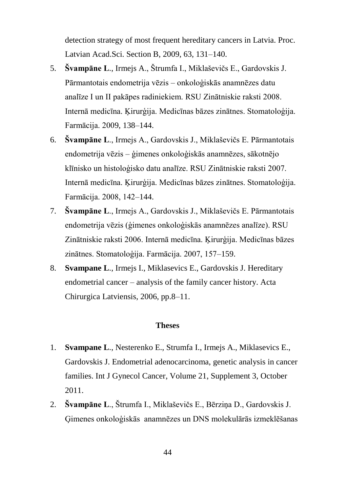detection strategy of most frequent hereditary cancers in Latvia. Proc. Latvian Acad.Sci. Section B, 2009, 63, 131–140.

- 5. **Švampāne L**., Irmejs A., Štrumfa I., Miklaševičs E., Gardovskis J. Pārmantotais endometrija vēzis – onkoloģiskās anamnēzes datu analīze I un II pakāpes radiniekiem. RSU Zinātniskie raksti 2008. Internā medicīna. Ķirurģija. Medicīnas bāzes zinātnes. Stomatoloģija. Farmācija. 2009, 138–144.
- 6. **Švampāne L**., Irmejs A., Gardovskis J., Miklaševičs E. Pārmantotais endometrija vēzis – ģimenes onkoloģiskās anamnēzes, sākotnējo klīnisko un histoloģisko datu analīze. RSU Zinātniskie raksti 2007. Internā medicīna. Ķirurģija. Medicīnas bāzes zinātnes. Stomatoloģija. Farmācija. 2008, 142–144.
- 7. **Švampāne L**., Irmejs A., Gardovskis J., Miklaševičs E. Pārmantotais endometrija vēzis (ģimenes onkoloģiskās anamnēzes analīze). RSU Zinātniskie raksti 2006. Internā medicīna. Ķirurģija. Medicīnas bāzes zinātnes. Stomatoloģija. Farmācija. 2007, 157–159.
- 8. **Svampane L**., Irmejs I., Miklasevics E., Gardovskis J. Hereditary endometrial cancer – analysis of the family cancer history. Acta Chirurgica Latviensis, 2006, pp.8–11.

#### **Theses**

- 1. **Svampane L**., Nesterenko E., Strumfa I., Irmejs A., Miklasevics E., Gardovskis J. Endometrial adenocarcinoma, genetic analysis in cancer families. Int J Gynecol Cancer, Volume 21, Supplement 3, October 2011.
- 2. **Švampāne L**., Štrumfa I., Miklaševičs E., Bērziņa D., Gardovskis J. Ģimenes onkoloģiskās anamnēzes un DNS molekulārās izmeklēšanas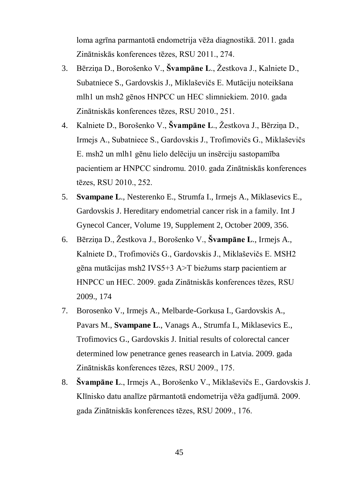loma agrīna parmantotā endometrija vēža diagnostikā. 2011. gada Zinātniskās konferences tēzes, RSU 2011., 274.

- 3. Bērziņa D., Borošenko V., **Švampāne L**., Žestkova J., Kalniete D., Subatniece S., Gardovskis J., Miklaševičs E. Mutāciju noteikšana mlh1 un msh2 gēnos HNPCC un HEC slimniekiem. 2010. gada Zinātniskās konferences tēzes, RSU 2010., 251.
- 4. Kalniete D., Borošenko V., **Švampāne L**., Žestkova J., Bērziņa D., Irmejs A., Subatniece S., Gardovskis J., Trofimovičs G., Miklaševičs E. msh2 un mlh1 gēnu lielo delēciju un insērciju sastopamība pacientiem ar HNPCC sindromu. 2010. gada Zinātniskās konferences tēzes, RSU 2010., 252.
- 5. **Svampane L**., Nesterenko E., Strumfa I., Irmejs A., Miklasevics E., Gardovskis J. Hereditary endometrial cancer risk in a family. Int J Gynecol Cancer, Volume 19, Supplement 2, October 2009, 356.
- 6. Bērziņa D., Žestkova J., Borošenko V., **Švampāne L**., Irmejs A., Kalniete D., Trofimovičs G., Gardovskis J., Miklaševičs E. MSH2 gēna mutācijas msh2 IVS5+3 A>T biežums starp pacientiem ar HNPCC un HEC. 2009. gada Zinātniskās konferences tēzes, RSU 2009., 174
- 7. Borosenko V., Irmejs A., Melbarde-Gorkusa I., Gardovskis A., Pavars M., **Svampane L**., Vanags A., Strumfa I., Miklasevics E., Trofimovics G., Gardovskis J. Initial results of colorectal cancer determined low penetrance genes reasearch in Latvia. 2009. gada Zinātniskās konferences tēzes, RSU 2009., 175.
- 8. **Švampāne L**., Irmejs A., Borošenko V., Miklaševičs E., Gardovskis J. Klīnisko datu analīze pārmantotā endometrija vēža gadījumā. 2009. gada Zinātniskās konferences tēzes, RSU 2009., 176.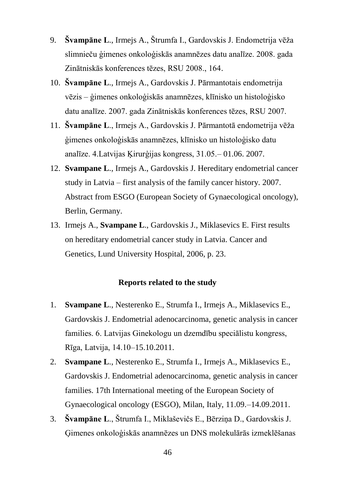- 9. **Švampāne L**., Irmejs A., Štrumfa I., Gardovskis J. Endometrija vēža slimnieču ģimenes onkoloģiskās anamnēzes datu analīze. 2008. gada Zinātniskās konferences tēzes, RSU 2008., 164.
- 10. **Švampāne L**., Irmejs A., Gardovskis J. Pārmantotais endometrija vēzis – ģimenes onkoloģiskās anamnēzes, klīnisko un histoloģisko datu analīze. 2007. gada Zinātniskās konferences tēzes, RSU 2007.
- 11. **Švampāne L**., Irmejs A., Gardovskis J. Pārmantotā endometrija vēža ģimenes onkoloģiskās anamnēzes, klīnisko un histoloģisko datu analīze. 4.Latvijas Ķirurģijas kongress, 31.05.– 01.06. 2007.
- 12. **Svampane L**., Irmejs A., Gardovskis J. Hereditary endometrial cancer study in Latvia – first analysis of the family cancer history. 2007. Abstract from ESGO (European Society of Gynaecological oncology), Berlin, Germany.
- 13. Irmejs A., **Svampane L**., Gardovskis J., Miklasevics E. First results on hereditary endometrial cancer study in Latvia. Cancer and Genetics, Lund University Hospital, 2006, p. 23.

#### **Reports related to the study**

- 1. **Svampane L**., Nesterenko E., Strumfa I., Irmejs A., Miklasevics E., Gardovskis J. Endometrial adenocarcinoma, genetic analysis in cancer families. 6. Latvijas Ginekologu un dzemdību speciālistu kongress, Rīga, Latvija, 14.10–15.10.2011.
- 2. **Svampane L**., Nesterenko E., Strumfa I., Irmejs A., Miklasevics E., Gardovskis J. Endometrial adenocarcinoma, genetic analysis in cancer families. 17th International meeting of the European Society of Gynaecological oncology (ESGO), Milan, Italy, 11.09.–14.09.2011.
- 3. **Švampāne L**., Štrumfa I., Miklaševičs E., Bērziņa D., Gardovskis J. Ģimenes onkoloģiskās anamnēzes un DNS molekulārās izmeklēšanas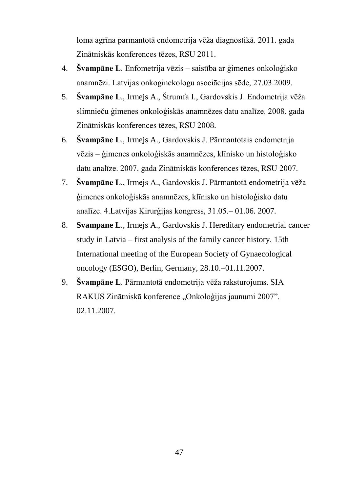loma agrīna parmantotā endometrija vēža diagnostikā. 2011. gada Zinātniskās konferences tēzes, RSU 2011.

- 4. **Švampāne L**. Enfometrija vēzis saistība ar ģimenes onkoloģisko anamnēzi. Latvijas onkoginekologu asociācijas sēde, 27.03.2009.
- 5. **Švampāne L**., Irmejs A., Štrumfa I., Gardovskis J. Endometrija vēža slimnieču ģimenes onkoloģiskās anamnēzes datu analīze. 2008. gada Zinātniskās konferences tēzes, RSU 2008.
- 6. **Švampāne L**., Irmejs A., Gardovskis J. Pārmantotais endometrija vēzis – ģimenes onkoloģiskās anamnēzes, klīnisko un histoloģisko datu analīze. 2007. gada Zinātniskās konferences tēzes, RSU 2007.
- 7. **Švampāne L**., Irmejs A., Gardovskis J. Pārmantotā endometrija vēža ģimenes onkoloģiskās anamnēzes, klīnisko un histoloģisko datu analīze. 4.Latvijas Ķirurģijas kongress, 31.05.– 01.06. 2007.
- 8. **Svampane L**., Irmejs A., Gardovskis J. Hereditary endometrial cancer study in Latvia – first analysis of the family cancer history. 15th International meeting of the European Society of Gynaecological oncology (ESGO), Berlin, Germany, 28.10.–01.11.2007.
- 9. **Švampāne L**. Pārmantotā endometrija vēža raksturojums. SIA RAKUS Zinātniskā konference "Onkoloģijas jaunumi 2007". 02.11.2007.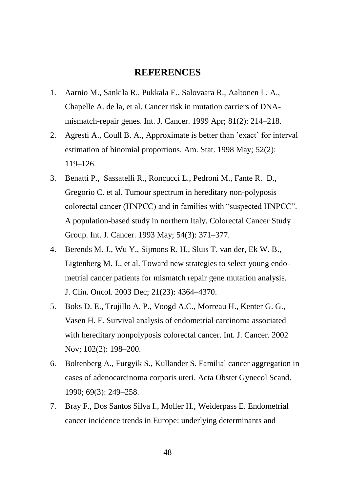#### **REFERENCES**

- <span id="page-48-0"></span>1. Aarnio M., Sankila R., Pukkala E., Salovaara R., Aaltonen L. A., Chapelle A. de la, et al. Cancer risk in mutation carriers of DNAmismatch-repair genes. Int. J. Cancer. 1999 Apr; 81(2): 214–218.
- 2. Agresti A., Coull B. A., Approximate is better than 'exact' for interval estimation of binomial proportions. Am. Stat. 1998 May; 52(2): 119–126.
- 3. Benatti P., Sassatelli R., Roncucci L., Pedroni M., Fante R. D., Gregorio C. et al. Tumour spectrum in hereditary non-polyposis colorectal cancer (HNPCC) and in families with "suspected HNPCC". A population-based study in northern Italy. Colorectal Cancer Study Group. Int. J. Cancer. 1993 May; 54(3): 371–377.
- 4. Berends M. J., Wu Y., Sijmons R. H., Sluis T. van der, Ek W. B., Ligtenberg M. J., et al. Toward new strategies to select young endometrial cancer patients for mismatch repair gene mutation analysis. J. Clin. Oncol. 2003 Dec; 21(23): 4364–4370.
- 5. Boks D. E., Trujillo A. P., Voogd A.C., Morreau H., Kenter G. G., Vasen H. F. Survival analysis of endometrial carcinoma associated with hereditary nonpolyposis colorectal cancer. Int. J. Cancer. 2002 Nov; 102(2): 198–200.
- 6. Boltenberg A., Furgyik S., Kullander S. Familial cancer aggregation in cases of adenocarcinoma corporis uteri. Acta Obstet Gynecol Scand. 1990; 69(3): 249–258.
- 7. Bray F., Dos Santos Silva I., Moller H., Weiderpass E. Endometrial cancer incidence trends in Europe: underlying determinants and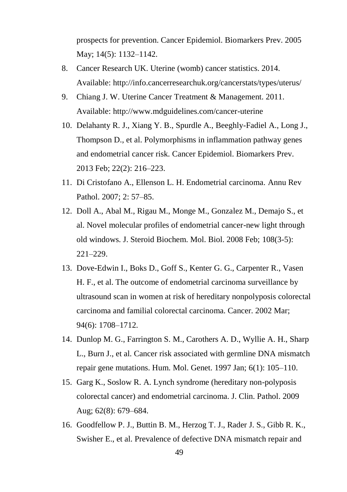prospects for prevention. Cancer Epidemiol. Biomarkers Prev. 2005 May; 14(5): 1132–1142.

- 8. Cancer Research UK. Uterine (womb) cancer statistics. 2014. Available:<http://info.cancerresearchuk.org/cancerstats/types/uterus/>
- 9. Chiang J. W. Uterine Cancer Treatment & Management. 2011. Available:<http://www.mdguidelines.com/cancer-uterine>
- 10. Delahanty R. J., Xiang Y. B., Spurdle A., Beeghly-Fadiel A., Long J., Thompson D., et al. Polymorphisms in inflammation pathway genes and endometrial cancer risk. Cancer Epidemiol. Biomarkers Prev. 2013 Feb; 22(2): 216–223.
- 11. Di Cristofano A., Ellenson L. H. Endometrial carcinoma. Annu Rev Pathol. 2007; 2: 57–85.
- 12. Doll A., Abal M., Rigau M., Monge M., Gonzalez M., Demajo S., et al. Novel molecular profiles of endometrial cancer-new light through old windows. J. Steroid Biochem. Mol. Biol. 2008 Feb; 108(3-5): 221–229.
- 13. Dove-Edwin I., Boks D., Goff S., Kenter G. G., Carpenter R., Vasen H. F., et al. The outcome of endometrial carcinoma surveillance by ultrasound scan in women at risk of hereditary nonpolyposis colorectal carcinoma and familial colorectal carcinoma. Cancer. 2002 Mar; 94(6): 1708–1712.
- 14. Dunlop M. G., Farrington S. M., Carothers A. D., Wyllie A. H., Sharp L., Burn J., et al. Cancer risk associated with germline DNA mismatch repair gene mutations. Hum. Mol. Genet. 1997 Jan; 6(1): 105–110.
- 15. Garg K., Soslow R. A. Lynch syndrome (hereditary non-polyposis colorectal cancer) and endometrial carcinoma. J. Clin. Pathol. 2009 Aug; 62(8): 679–684.
- 16. Goodfellow P. J., Buttin B. M., Herzog T. J., Rader J. S., Gibb R. K., Swisher E., et al. Prevalence of defective DNA mismatch repair and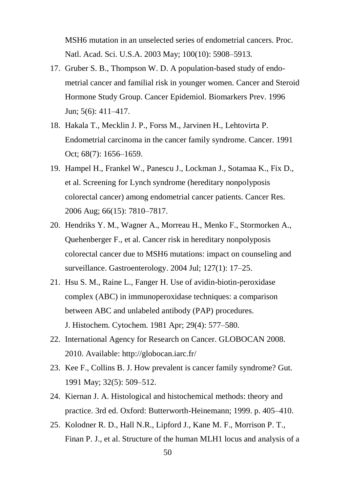MSH6 mutation in an unselected series of endometrial cancers. Proc. Natl. Acad. Sci. U.S.A. 2003 May; 100(10): 5908–5913.

- 17. Gruber S. B., Thompson W. D. A population-based study of endometrial cancer and familial risk in younger women. Cancer and Steroid Hormone Study Group. Cancer Epidemiol. Biomarkers Prev. 1996 Jun; 5(6): 411–417.
- 18. Hakala T., Mecklin J. P., Forss M., Jarvinen H., Lehtovirta P. Endometrial carcinoma in the cancer family syndrome. Cancer. 1991 Oct; 68(7): 1656–1659.
- 19. Hampel H., Frankel W., Panescu J., Lockman J., Sotamaa K., Fix D., et al. Screening for Lynch syndrome (hereditary nonpolyposis colorectal cancer) among endometrial cancer patients. Cancer Res. 2006 Aug; 66(15): 7810–7817.
- 20. Hendriks Y. M., Wagner A., Morreau H., Menko F., Stormorken A., Quehenberger F., et al. Cancer risk in hereditary nonpolyposis colorectal cancer due to MSH6 mutations: impact on counseling and surveillance. Gastroenterology. 2004 Jul; 127(1): 17–25.
- 21. Hsu S. M., Raine L., Fanger H. Use of avidin-biotin-peroxidase complex (ABC) in immunoperoxidase techniques: a comparison between ABC and unlabeled antibody (PAP) procedures. J. Histochem. Cytochem. 1981 Apr; 29(4): 577–580.
- 22. International Agency for Research on Cancer. GLOBOCAN 2008. 2010. Available: http://globocan.iarc.fr/
- 23. Kee F., Collins B. J. How prevalent is cancer family syndrome? Gut. 1991 May; 32(5): 509–512.
- 24. Kiernan J. A. Histological and histochemical methods: theory and practice. 3rd ed. Oxford: Butterworth-Heinemann; 1999. p. 405–410.
- 25. Kolodner R. D., Hall N.R., Lipford J., Kane M. F., Morrison P. T., Finan P. J., et al. Structure of the human MLH1 locus and analysis of a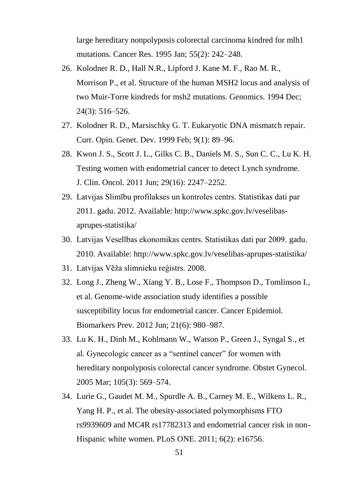large hereditary nonpolyposis colorectal carcinoma kindred for mlh1 mutations. Cancer Res. 1995 Jan; 55(2): 242–248.

- 26. Kolodner R. D., Hall N.R., Lipford J. Kane M. F., Rao M. R., Morrison P., et al. Structure of the human MSH2 locus and analysis of two Muir-Torre kindreds for msh2 mutations. Genomics. 1994 Dec; 24(3): 516–526.
- 27. Kolodner R. D., Marsischky G. T. Eukaryotic DNA mismatch repair. Curr. Opin. Genet. Dev. 1999 Feb; 9(1): 89–96.
- 28. Kwon J. S., Scott J. L., Gilks C. B., Daniels M. S., Sun C. C., Lu K. H. Testing women with endometrial cancer to detect Lynch syndrome. J. Clin. Oncol. 2011 Jun; 29(16): 2247–2252.
- 29. Latvijas Slimību profilakses un kontroles centrs. Statistikas dati par 2011. gadu. 2012. Available: http://www.spkc.gov.lv/veselibasaprupes-statistika/
- 30. Latvijas Veselības ekonomikas centrs. Statistikas dati par 2009. gadu. 2010. Available: http://www.spkc.gov.lv/veselibas-aprupes-statistika/
- 31. Latvijas Vēža slimnieku reģistrs. 2008.
- 32. Long J., Zheng W., Xiang Y. B., Lose F., Thompson D., Tomlinson I., et al. Genome-wide association study identifies a possible susceptibility locus for endometrial cancer. Cancer Epidemiol. Biomarkers Prev. 2012 Jun; 21(6): 980–987.
- 33. Lu K. H., Dinh M., Kohlmann W., Watson P., Green J., Syngal S., et al. Gynecologic cancer as a "sentinel cancer" for women with hereditary nonpolyposis colorectal cancer syndrome. Obstet Gynecol. 2005 Mar; 105(3): 569–574.
- 34. Lurie G., Gaudet M. M., Spurdle A. B., Carney M. E., Wilkens L. R., Yang H. P., et al. The obesity-associated polymorphisms FTO rs9939609 and MC4R rs17782313 and endometrial cancer risk in non-Hispanic white women. PLoS ONE. 2011; 6(2): e16756.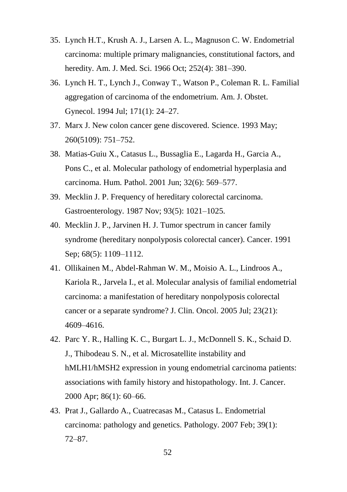- 35. Lynch H.T., Krush A. J., Larsen A. L., Magnuson C. W. Endometrial carcinoma: multiple primary malignancies, constitutional factors, and heredity. Am. J. Med. Sci. 1966 Oct; 252(4): 381–390.
- 36. Lynch H. T., Lynch J., Conway T., Watson P., Coleman R. L. Familial aggregation of carcinoma of the endometrium. Am. J. Obstet. Gynecol. 1994 Jul; 171(1): 24–27.
- 37. Marx J. New colon cancer gene discovered. Science. 1993 May; 260(5109): 751–752.
- 38. Matias-Guiu X., Catasus L., Bussaglia E., Lagarda H., Garcia A., Pons C., et al. Molecular pathology of endometrial hyperplasia and carcinoma. Hum. Pathol. 2001 Jun; 32(6): 569–577.
- 39. Mecklin J. P. Frequency of hereditary colorectal carcinoma. Gastroenterology. 1987 Nov; 93(5): 1021–1025.
- 40. Mecklin J. P., Jarvinen H. J. Tumor spectrum in cancer family syndrome (hereditary nonpolyposis colorectal cancer). Cancer. 1991 Sep; 68(5): 1109–1112.
- 41. Ollikainen M., Abdel-Rahman W. M., Moisio A. L., Lindroos A., Kariola R., Jarvela I., et al. Molecular analysis of familial endometrial carcinoma: a manifestation of hereditary nonpolyposis colorectal cancer or a separate syndrome? J. Clin. Oncol. 2005 Jul; 23(21): 4609–4616.
- 42. Parc Y. R., Halling K. C., Burgart L. J., McDonnell S. K., Schaid D. J., Thibodeau S. N., et al. Microsatellite instability and hMLH1/hMSH2 expression in young endometrial carcinoma patients: associations with family history and histopathology. Int. J. Cancer. 2000 Apr; 86(1): 60–66.
- 43. Prat J., Gallardo A., Cuatrecasas M., Catasus L. Endometrial carcinoma: pathology and genetics. Pathology. 2007 Feb; 39(1): 72–87.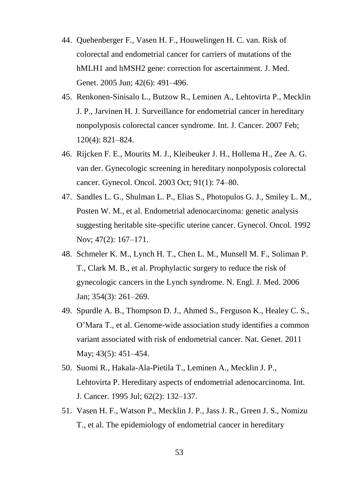- 44. Quehenberger F., Vasen H. F., Houwelingen H. C. van. Risk of colorectal and endometrial cancer for carriers of mutations of the hMLH1 and hMSH2 gene: correction for ascertainment. J. Med. Genet. 2005 Jun; 42(6): 491–496.
- 45. Renkonen-Sinisalo L., Butzow R., Leminen A., Lehtovirta P., Mecklin J. P., Jarvinen H. J. Surveillance for endometrial cancer in hereditary nonpolyposis colorectal cancer syndrome. Int. J. Cancer. 2007 Feb; 120(4): 821–824.
- 46. Rijcken F. E., Mourits M. J., Kleibeuker J. H., Hollema H., Zee A. G. van der. Gynecologic screening in hereditary nonpolyposis colorectal cancer. Gynecol. Oncol. 2003 Oct; 91(1): 74–80.
- 47. Sandles L. G., Shulman L. P., Elias S., Photopulos G. J., Smiley L. M., Posten W. M., et al. Endometrial adenocarcinoma: genetic analysis suggesting heritable site-specific uterine cancer. Gynecol. Oncol. 1992 Nov; 47(2): 167–171.
- 48. Schmeler K. M., Lynch H. T., Chen L. M., Munsell M. F., Soliman P. T., Clark M. B., et al. Prophylactic surgery to reduce the risk of gynecologic cancers in the Lynch syndrome. N. Engl. J. Med. 2006 Jan; 354(3): 261–269.
- 49. Spurdle A. B., Thompson D. J., Ahmed S., Ferguson K., Healey C. S., O'Mara T., et al. Genome-wide association study identifies a common variant associated with risk of endometrial cancer. Nat. Genet. 2011 May; 43(5): 451–454.
- 50. Suomi R., Hakala-Ala-Pietila T., Leminen A., Mecklin J. P., Lehtovirta P. Hereditary aspects of endometrial adenocarcinoma. Int. J. Cancer. 1995 Jul; 62(2): 132–137.
- 51. Vasen H. F., Watson P., Mecklin J. P., Jass J. R., Green J. S., Nomizu T., et al. The epidemiology of endometrial cancer in hereditary